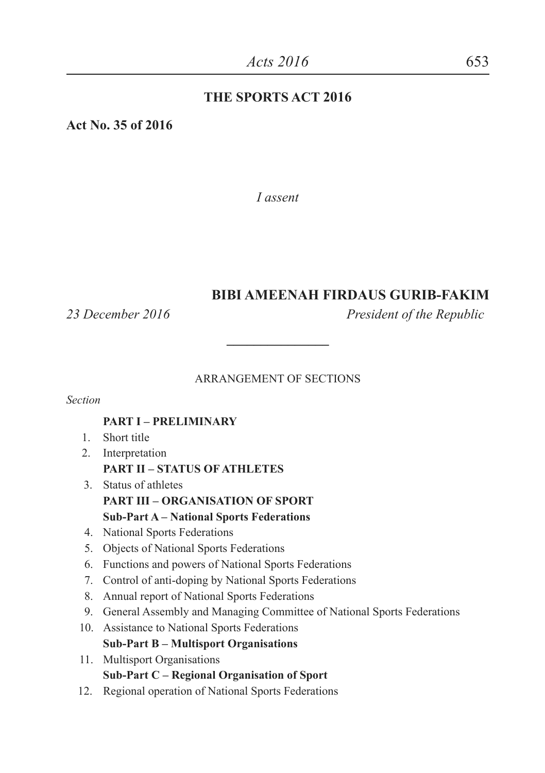#### **THE SPORTS ACT 2016**

**Act No. 35 of 2016**

*I assent*

#### **BIBI AMEENAH FIRDAUS GURIB-FAKIM**

*23 December 2016 President of the Republic*

#### ARRANGEMENT OF SECTIONS

**\_\_\_\_\_\_\_\_\_\_\_\_\_\_\_**

*Section*

#### **PART I – PRELIMINARY**

- 1. Short title
- 2. Interpretation **PART II – STATUS OF ATHLETES**
- 3. Status of athletes **PART III – ORGANISATION OF SPORT Sub-Part A – National Sports Federations**
- 4. National Sports Federations
- 5. Objects of National Sports Federations
- 6. Functions and powers of National Sports Federations
- 7. Control of anti-doping by National Sports Federations
- 8. Annual report of National Sports Federations
- 9. General Assembly and Managing Committee of National Sports Federations
- 10. Assistance to National Sports Federations **Sub-Part B – Multisport Organisations**
- 11. Multisport Organisations **Sub-Part C – Regional Organisation of Sport**
- 12. Regional operation of National Sports Federations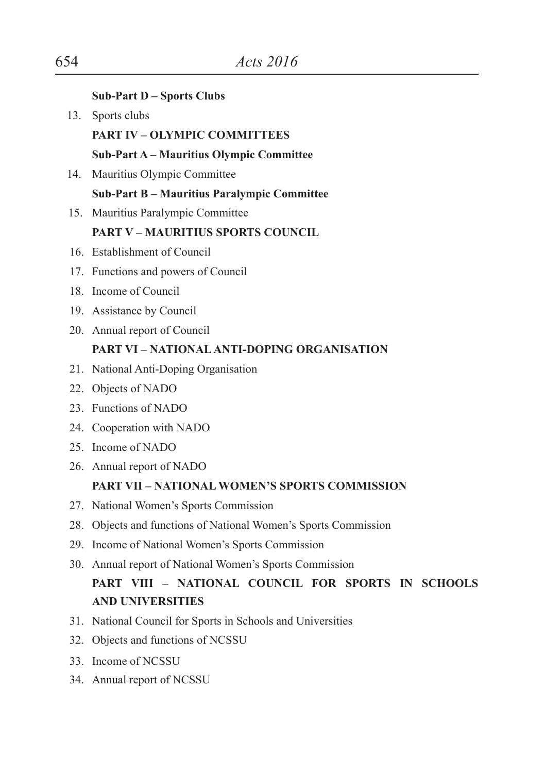|     | <b>Sub-Part D – Sports Clubs</b>                                |
|-----|-----------------------------------------------------------------|
| 13. | Sports clubs                                                    |
|     | <b>PART IV - OLYMPIC COMMITTEES</b>                             |
|     | Sub-Part A - Mauritius Olympic Committee                        |
| 14. | Mauritius Olympic Committee                                     |
|     | Sub-Part B - Mauritius Paralympic Committee                     |
|     | 15. Mauritius Paralympic Committee                              |
|     | <b>PART V - MAURITIUS SPORTS COUNCIL</b>                        |
|     | 16. Establishment of Council                                    |
|     | 17. Functions and powers of Council                             |
|     | 18. Income of Council                                           |
|     | 19. Assistance by Council                                       |
|     | 20. Annual report of Council                                    |
|     | <b>PART VI - NATIONAL ANTI-DOPING ORGANISATION</b>              |
|     | 21. National Anti-Doping Organisation                           |
|     | 22. Objects of NADO                                             |
|     | 23. Functions of NADO                                           |
|     | 24. Cooperation with NADO                                       |
|     | 25. Income of NADO                                              |
|     | 26. Annual report of NADO                                       |
|     | PART VII - NATIONAL WOMEN'S SPORTS COMMISSION                   |
|     | 27. National Women's Sports Commission                          |
|     | 28. Objects and functions of National Women's Sports Commission |
|     | 29. Income of National Women's Sports Commission                |
|     | 30. Annual report of National Women's Sports Commission         |
|     | PART VIII - NATIONAL COUNCIL FOR SPORTS IN SCHOOLS              |
|     | <b>AND UNIVERSITIES</b>                                         |
|     | 31. National Council for Sports in Schools and Universities     |
| 32. | Objects and functions of NCSSU                                  |
|     | 33. Income of NCSSU                                             |

34. Annual report of NCSSU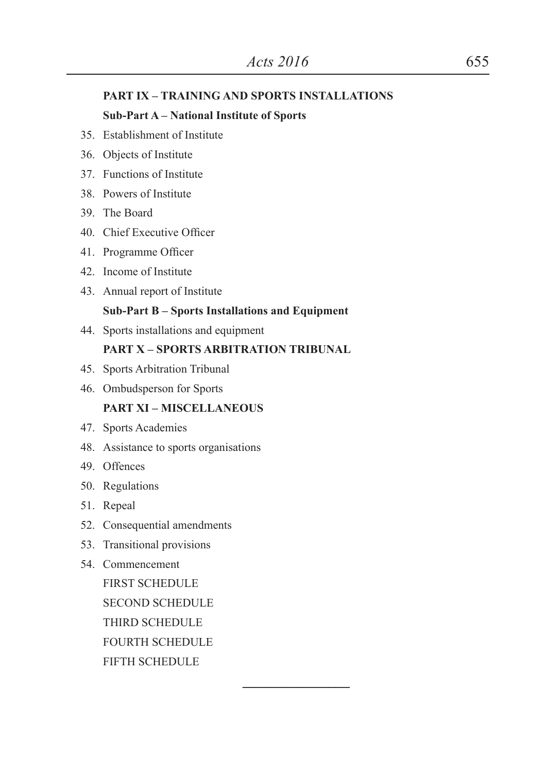#### **PART IX – TRAINING AND SPORTS INSTALLATIONS**

#### **Sub-Part A – National Institute of Sports**

- 35. Establishment of Institute
- 36. Objects of Institute
- 37. Functions of Institute
- 38. Powers of Institute
- 39. The Board
- 40. Chief Executive Officer
- 41. Programme Officer
- 42. Income of Institute
- 43. Annual report of Institute

#### **Sub-Part B – Sports Installations and Equipment**

44. Sports installations and equipment

#### **PART X – SPORTS ARBITRATION TRIBUNAL**

**\_\_\_\_\_\_\_\_\_\_\_\_\_\_\_**

- 45. Sports Arbitration Tribunal
- 46. Ombudsperson for Sports

#### **PART XI – MISCELLANEOUS**

- 47. Sports Academies
- 48. Assistance to sports organisations
- 49. Offences
- 50. Regulations
- 51. Repeal
- 52. Consequential amendments
- 53. Transitional provisions
- 54. Commencement

FIRST SCHEDULE SECOND SCHEDULE THIRD SCHEDULE FOURTH SCHEDULE FIFTH SCHEDULE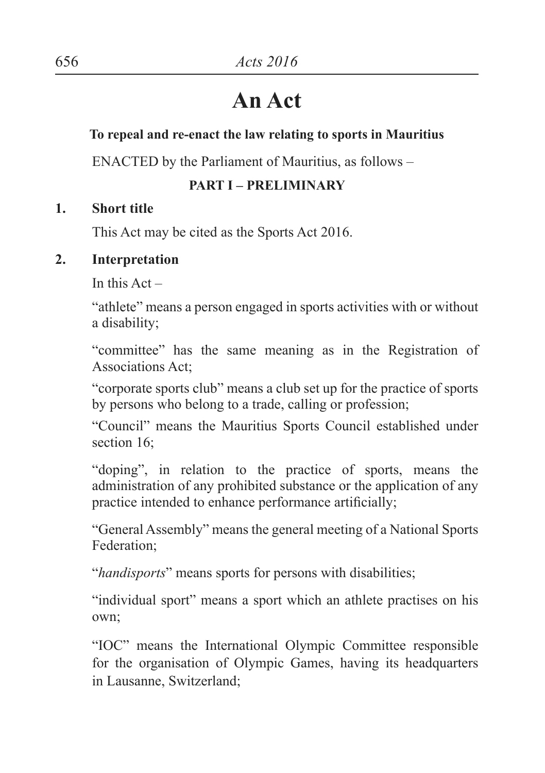# **An Act**

## **To repeal and re-enact the law relating to sports in Mauritius**

ENACTED by the Parliament of Mauritius, as follows –

## **PART I – PRELIMINARY**

## **1. Short title**

This Act may be cited as the Sports Act 2016.

## **2. Interpretation**

In this  $Act -$ 

"athlete" means a person engaged in sports activities with or without a disability;

"committee" has the same meaning as in the Registration of Associations Act;

"corporate sports club" means a club set up for the practice of sports by persons who belong to a trade, calling or profession;

"Council" means the Mauritius Sports Council established under section 16:

"doping", in relation to the practice of sports, means the administration of any prohibited substance or the application of any practice intended to enhance performance artificially;

"General Assembly" means the general meeting of a National Sports Federation;

"*handisports*" means sports for persons with disabilities;

"individual sport" means a sport which an athlete practises on his own;

"IOC" means the International Olympic Committee responsible for the organisation of Olympic Games, having its headquarters in Lausanne, Switzerland;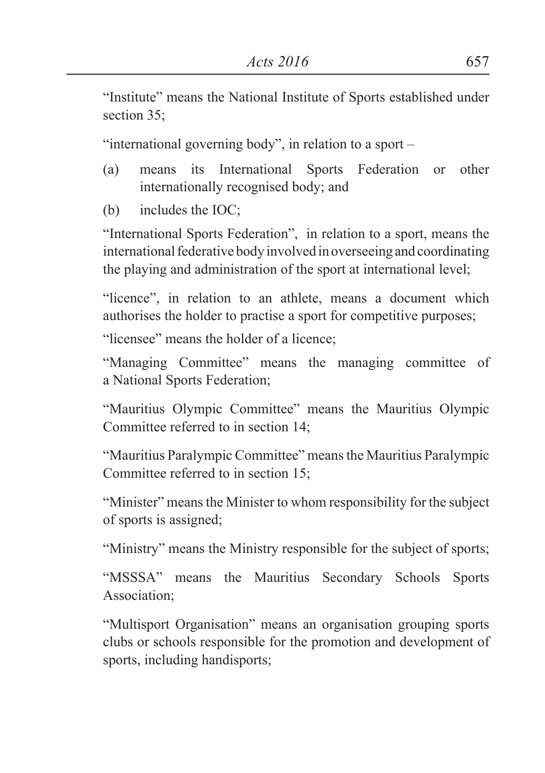"Institute" means the National Institute of Sports established under section 35:

"international governing body", in relation to a sport –

- (a) means its International Sports Federation or other internationally recognised body; and
- (b) includes the IOC;

"International Sports Federation", in relation to a sport, means the international federative body involved in overseeing and coordinating the playing and administration of the sport at international level;

"licence", in relation to an athlete, means a document which authorises the holder to practise a sport for competitive purposes;

"licensee" means the holder of a licence;

"Managing Committee" means the managing committee of a National Sports Federation;

"Mauritius Olympic Committee" means the Mauritius Olympic Committee referred to in section 14;

"Mauritius Paralympic Committee" means the Mauritius Paralympic Committee referred to in section 15;

"Minister" means the Minister to whom responsibility for the subject of sports is assigned;

"Ministry" means the Ministry responsible for the subject of sports;

"MSSSA" means the Mauritius Secondary Schools Sports Association;

"Multisport Organisation" means an organisation grouping sports clubs or schools responsible for the promotion and development of sports, including handisports;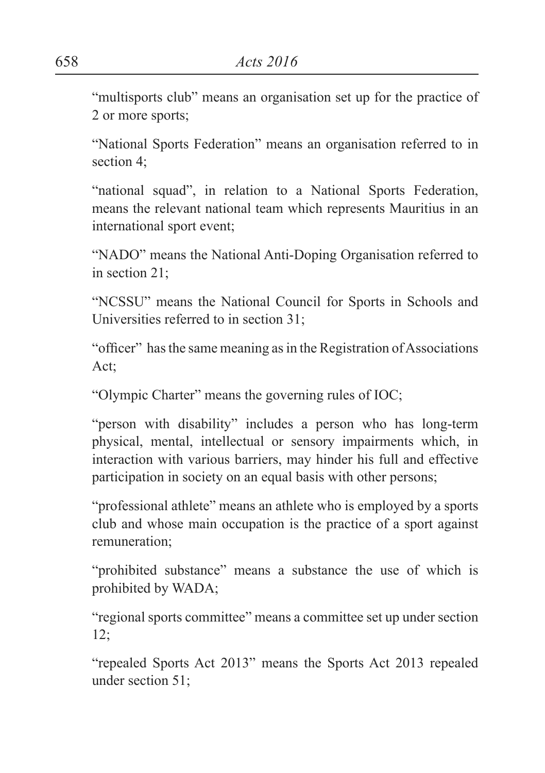"multisports club" means an organisation set up for the practice of 2 or more sports;

"National Sports Federation" means an organisation referred to in section 4;

"national squad", in relation to a National Sports Federation, means the relevant national team which represents Mauritius in an international sport event;

"NADO" means the National Anti-Doping Organisation referred to in section 21;

"NCSSU" means the National Council for Sports in Schools and Universities referred to in section 31;

"officer" hasthe same meaning asin the Registration ofAssociations Act;

"Olympic Charter" means the governing rules of IOC;

"person with disability" includes a person who has long-term physical, mental, intellectual or sensory impairments which, in interaction with various barriers, may hinder his full and effective participation in society on an equal basis with other persons;

"professional athlete" means an athlete who is employed by a sports club and whose main occupation is the practice of a sport against remuneration;

"prohibited substance" means a substance the use of which is prohibited by WADA;

"regional sports committee" means a committee set up under section 12;

"repealed Sports Act 2013" means the Sports Act 2013 repealed under section 51;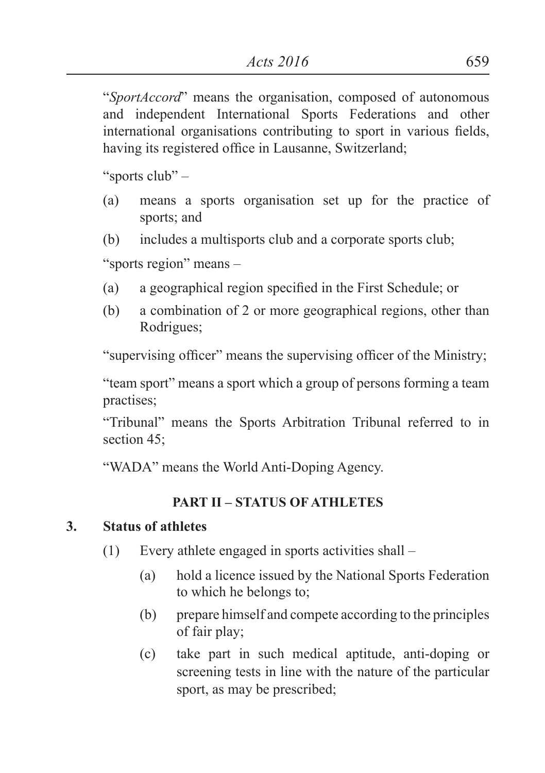"*SportAccord*" means the organisation, composed of autonomous and independent International Sports Federations and other international organisations contributing to sport in various fields, having its registered office in Lausanne, Switzerland;

"sports club" –

- (a) means a sports organisation set up for the practice of sports; and
- (b) includes a multisports club and a corporate sports club;

"sports region" means –

- (a) a geographical region specified in the First Schedule; or
- (b) a combination of 2 or more geographical regions, other than Rodrigues;

"supervising officer" means the supervising officer of the Ministry;

"team sport" means a sport which a group of persons forming a team practises;

"Tribunal" means the Sports Arbitration Tribunal referred to in section 45:

"WADA" means the World Anti-Doping Agency.

## **PART II – STATUS OF ATHLETES**

## **3. Status of athletes**

- (1) Every athlete engaged in sports activities shall
	- (a) hold a licence issued by the National Sports Federation to which he belongs to;
	- (b) prepare himself and compete according to the principles of fair play;
	- (c) take part in such medical aptitude, anti-doping or screening tests in line with the nature of the particular sport, as may be prescribed;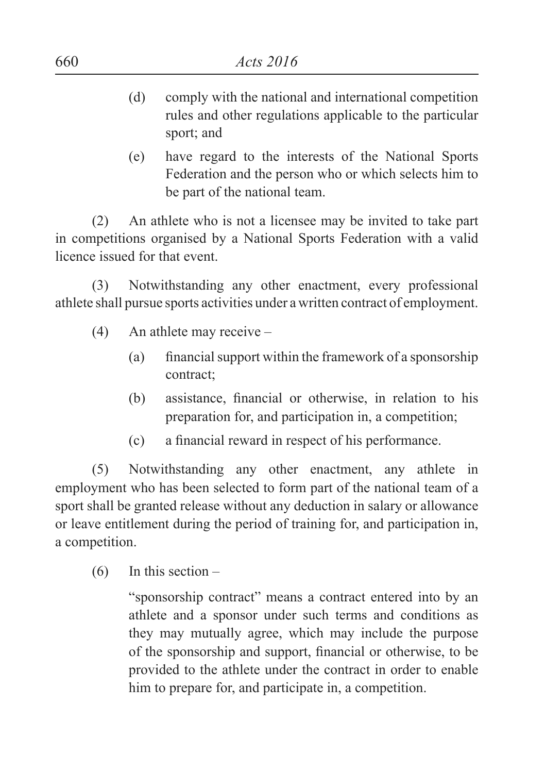- (d) comply with the national and international competition rules and other regulations applicable to the particular sport; and
- (e) have regard to the interests of the National Sports Federation and the person who or which selects him to be part of the national team.

(2) An athlete who is not a licensee may be invited to take part in competitions organised by a National Sports Federation with a valid licence issued for that event.

(3) Notwithstanding any other enactment, every professional athlete shall pursue sports activities under a written contract of employment.

- (4) An athlete may receive
	- (a) financial support within the framework of a sponsorship contract;
	- (b) assistance, financial or otherwise, in relation to his preparation for, and participation in, a competition;
	- (c) a financial reward in respect of his performance.

(5) Notwithstanding any other enactment, any athlete in employment who has been selected to form part of the national team of a sport shall be granted release without any deduction in salary or allowance or leave entitlement during the period of training for, and participation in, a competition.

 $(6)$  In this section –

"sponsorship contract" means a contract entered into by an athlete and a sponsor under such terms and conditions as they may mutually agree, which may include the purpose of the sponsorship and support, financial or otherwise, to be provided to the athlete under the contract in order to enable him to prepare for, and participate in, a competition.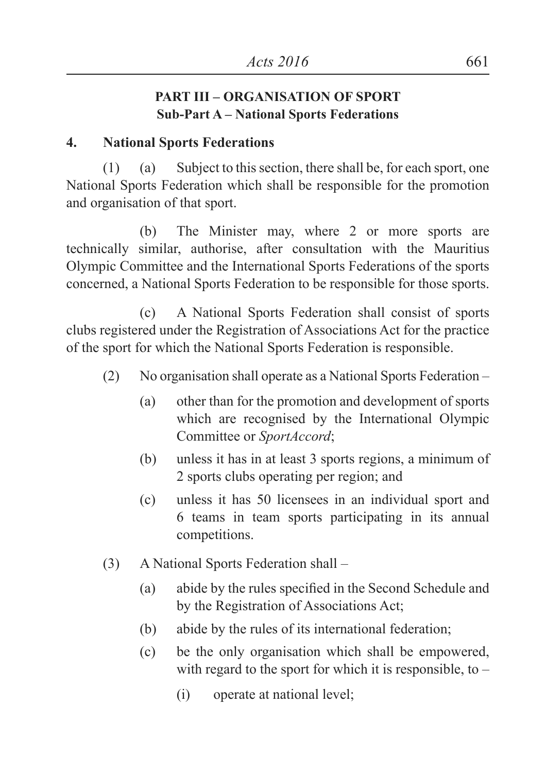#### **PART III – ORGANISATION OF SPORT Sub-Part A – National Sports Federations**

#### **4. National Sports Federations**

(1) (a) Subject to this section, there shall be, for each sport, one National Sports Federation which shall be responsible for the promotion and organisation of that sport.

(b) The Minister may, where 2 or more sports are technically similar, authorise, after consultation with the Mauritius Olympic Committee and the International Sports Federations of the sports concerned, a National Sports Federation to be responsible for those sports.

(c) A National Sports Federation shall consist of sports clubs registered under the Registration of Associations Act for the practice of the sport for which the National Sports Federation is responsible.

- (2) No organisation shall operate as a National Sports Federation
	- (a) other than for the promotion and development of sports which are recognised by the International Olympic Committee or *SportAccord*;
	- (b) unless it has in at least 3 sports regions, a minimum of 2 sports clubs operating per region; and
	- (c) unless it has 50 licensees in an individual sport and 6 teams in team sports participating in its annual competitions.
- (3) A National Sports Federation shall
	- (a) abide by the rules specified in the Second Schedule and by the Registration of Associations Act;
	- (b) abide by the rules of its international federation;
	- (c) be the only organisation which shall be empowered, with regard to the sport for which it is responsible, to  $-$ 
		- (i) operate at national level;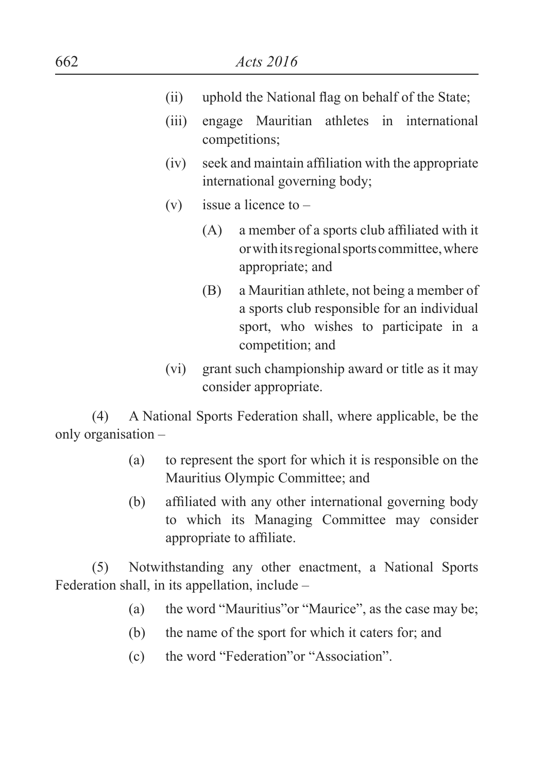- (ii) uphold the National flag on behalf of the State;
- (iii) engage Mauritian athletes in international competitions;
- (iv) seek and maintain affiliation with the appropriate international governing body;
- (v) issue a licence to  $-$ 
	- (A) a member of a sports club affiliated with it or with its regional sports committee, where appropriate; and
	- (B) a Mauritian athlete, not being a member of a sports club responsible for an individual sport, who wishes to participate in a competition; and
- (vi) grant such championship award or title as it may consider appropriate.

(4) A National Sports Federation shall, where applicable, be the only organisation –

- (a) to represent the sport for which it is responsible on the Mauritius Olympic Committee; and
- (b) affiliated with any other international governing body to which its Managing Committee may consider appropriate to affiliate.

(5) Notwithstanding any other enactment, a National Sports Federation shall, in its appellation, include –

- (a) the word "Mauritius"or "Maurice", as the case may be;
- (b) the name of the sport for which it caters for; and
- (c) the word "Federation"or "Association".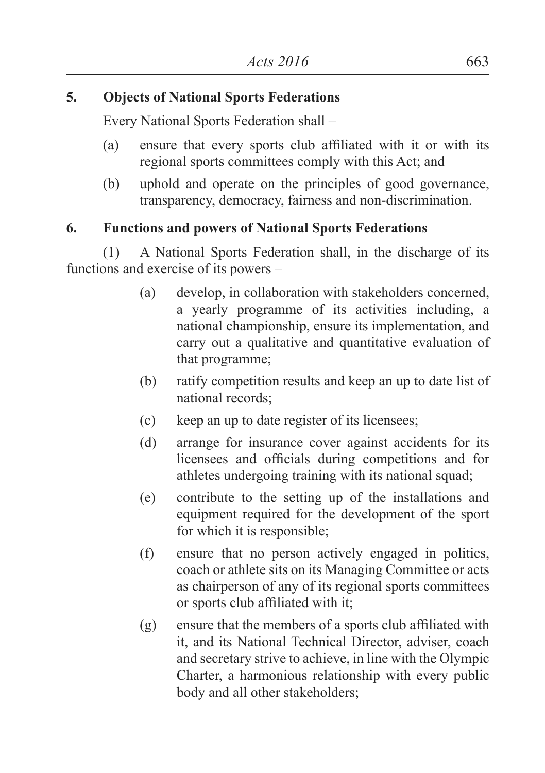#### **5. Objects of National Sports Federations**

Every National Sports Federation shall –

- (a) ensure that every sports club affiliated with it or with its regional sports committees comply with this Act; and
- (b) uphold and operate on the principles of good governance, transparency, democracy, fairness and non-discrimination.

#### **6. Functions and powers of National Sports Federations**

(1) A National Sports Federation shall, in the discharge of its functions and exercise of its powers –

- (a) develop, in collaboration with stakeholders concerned, a yearly programme of its activities including, a national championship, ensure its implementation, and carry out a qualitative and quantitative evaluation of that programme;
- (b) ratify competition results and keep an up to date list of national records;
- (c) keep an up to date register of its licensees;
- (d) arrange for insurance cover against accidents for its licensees and officials during competitions and for athletes undergoing training with its national squad;
- (e) contribute to the setting up of the installations and equipment required for the development of the sport for which it is responsible;
- (f) ensure that no person actively engaged in politics, coach or athlete sits on its Managing Committee or acts as chairperson of any of its regional sports committees or sports club affiliated with it;
- (g) ensure that the members of a sports club affiliated with it, and its National Technical Director, adviser, coach and secretary strive to achieve, in line with the Olympic Charter, a harmonious relationship with every public body and all other stakeholders;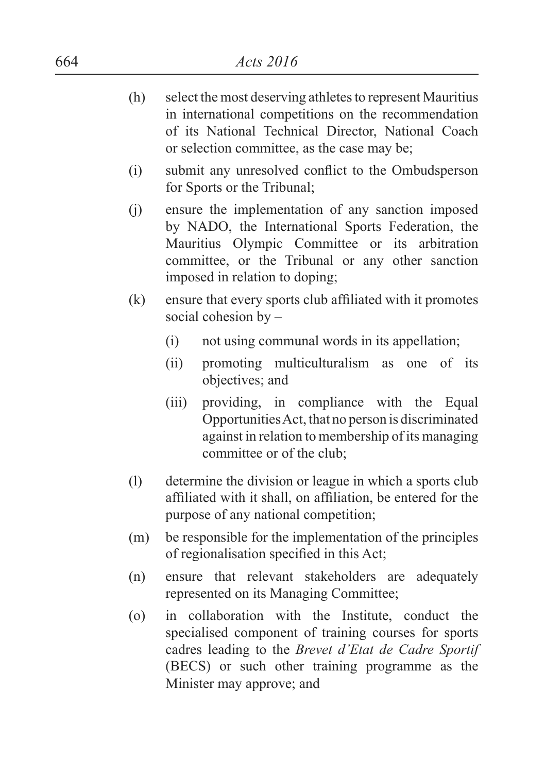- (h) select the most deserving athletes to represent Mauritius in international competitions on the recommendation of its National Technical Director, National Coach or selection committee, as the case may be;
- (i) submit any unresolved conflict to the Ombudsperson for Sports or the Tribunal;
- (j) ensure the implementation of any sanction imposed by NADO, the International Sports Federation, the Mauritius Olympic Committee or its arbitration committee, or the Tribunal or any other sanction imposed in relation to doping;
- (k) ensure that every sports club affiliated with it promotes social cohesion by –
	- (i) not using communal words in its appellation;
	- (ii) promoting multiculturalism as one of its objectives; and
	- (iii) providing, in compliance with the Equal Opportunities Act, that no person is discriminated against in relation to membership of its managing committee or of the club;
- (l) determine the division or league in which a sports club affiliated with it shall, on affiliation, be entered for the purpose of any national competition;
- (m) be responsible for the implementation of the principles of regionalisation specified in this Act;
- (n) ensure that relevant stakeholders are adequately represented on its Managing Committee;
- (o) in collaboration with the Institute, conduct the specialised component of training courses for sports cadres leading to the *Brevet d'Etat de Cadre Sportif*  (BECS) or such other training programme as the Minister may approve; and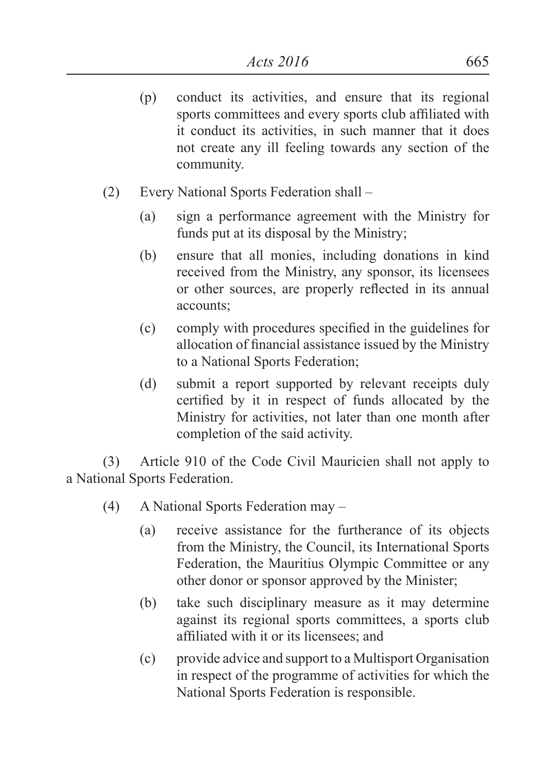- (p) conduct its activities, and ensure that its regional sports committees and every sports club affiliated with it conduct its activities, in such manner that it does not create any ill feeling towards any section of the community.
- (2) Every National Sports Federation shall
	- (a) sign a performance agreement with the Ministry for funds put at its disposal by the Ministry;
	- (b) ensure that all monies, including donations in kind received from the Ministry, any sponsor, its licensees or other sources, are properly reflected in its annual accounts;
	- (c) comply with procedures specified in the guidelines for allocation of financial assistance issued by the Ministry to a National Sports Federation;
	- (d) submit a report supported by relevant receipts duly certified by it in respect of funds allocated by the Ministry for activities, not later than one month after completion of the said activity.

(3) Article 910 of the Code Civil Mauricien shall not apply to a National Sports Federation.

- (4) A National Sports Federation may
	- (a) receive assistance for the furtherance of its objects from the Ministry, the Council, its International Sports Federation, the Mauritius Olympic Committee or any other donor or sponsor approved by the Minister;
	- (b) take such disciplinary measure as it may determine against its regional sports committees, a sports club affiliated with it or its licensees; and
	- (c) provide advice and support to a Multisport Organisation in respect of the programme of activities for which the National Sports Federation is responsible.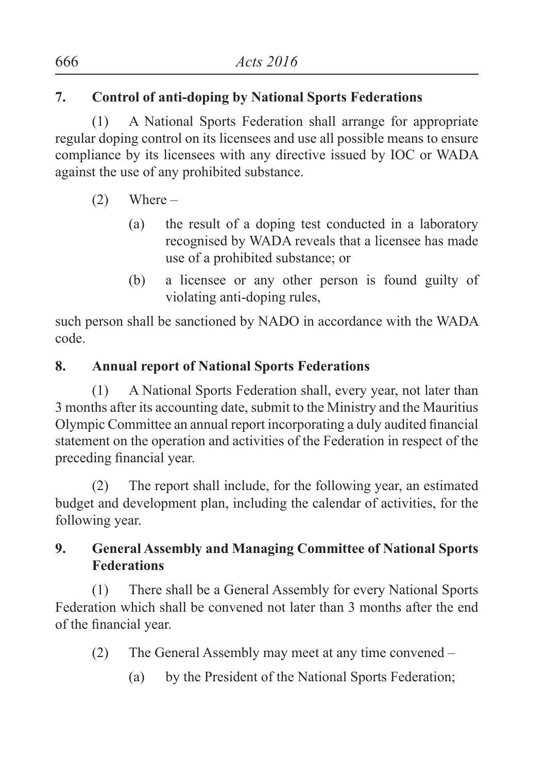# **7. Control of anti-doping by National Sports Federations**

(1) A National Sports Federation shall arrange for appropriate regular doping control on its licensees and use all possible means to ensure compliance by its licensees with any directive issued by IOC or WADA against the use of any prohibited substance.

- $(2)$  Where
	- (a) the result of a doping test conducted in a laboratory recognised by WADA reveals that a licensee has made use of a prohibited substance; or
	- (b) a licensee or any other person is found guilty of violating anti-doping rules,

such person shall be sanctioned by NADO in accordance with the WADA code.

## **8. Annual report of National Sports Federations**

(1) A National Sports Federation shall, every year, not later than 3 months after its accounting date, submit to the Ministry and the Mauritius Olympic Committee an annual report incorporating a duly audited financial statement on the operation and activities of the Federation in respect of the preceding financial year.

(2) The report shall include, for the following year, an estimated budget and development plan, including the calendar of activities, for the following year.

# **9. General Assembly and Managing Committee of National Sports Federations**

(1) There shall be a General Assembly for every National Sports Federation which shall be convened not later than 3 months after the end of the financial year.

- (2) The General Assembly may meet at any time convened
	- (a) by the President of the National Sports Federation;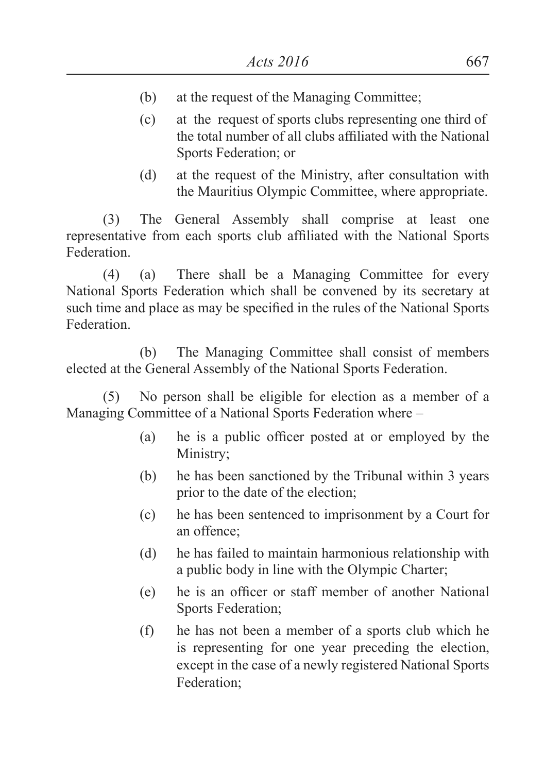- (b) at the request of the Managing Committee;
- (c) at the request of sports clubs representing one third of the total number of all clubs affiliated with the National Sports Federation; or
- (d) at the request of the Ministry, after consultation with the Mauritius Olympic Committee, where appropriate.

(3) The General Assembly shall comprise at least one representative from each sports club affiliated with the National Sports Federation.

(4) (a) There shall be a Managing Committee for every National Sports Federation which shall be convened by its secretary at such time and place as may be specified in the rules of the National Sports Federation.

(b) The Managing Committee shall consist of members elected at the General Assembly of the National Sports Federation.

(5) No person shall be eligible for election as a member of a Managing Committee of a National Sports Federation where –

- (a) he is a public officer posted at or employed by the Ministry;
- (b) he has been sanctioned by the Tribunal within 3 years prior to the date of the election;
- (c) he has been sentenced to imprisonment by a Court for an offence;
- (d) he has failed to maintain harmonious relationship with a public body in line with the Olympic Charter;
- (e) he is an officer or staff member of another National Sports Federation;
- (f) he has not been a member of a sports club which he is representing for one year preceding the election, except in the case of a newly registered National Sports Federation;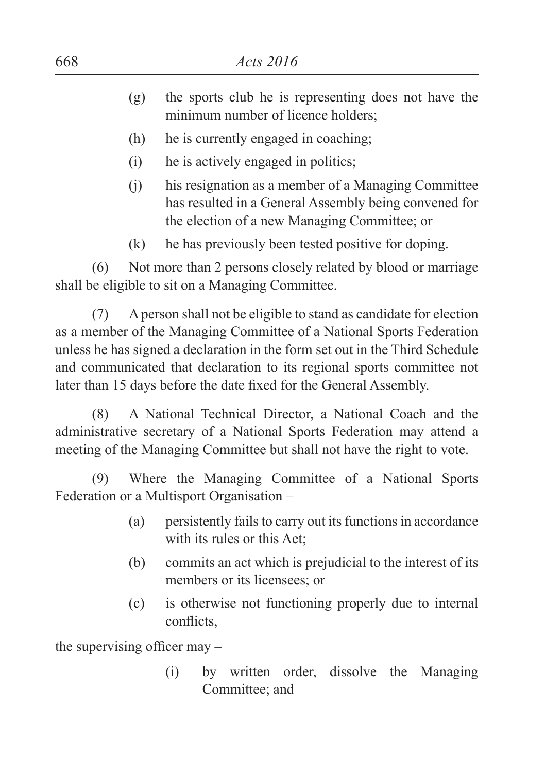- (g) the sports club he is representing does not have the minimum number of licence holders;
- (h) he is currently engaged in coaching;
- (i) he is actively engaged in politics;
- (j) his resignation as a member of a Managing Committee has resulted in a General Assembly being convened for the election of a new Managing Committee; or
- (k) he has previously been tested positive for doping.

(6) Not more than 2 persons closely related by blood or marriage shall be eligible to sit on a Managing Committee.

(7) A person shall not be eligible to stand as candidate for election as a member of the Managing Committee of a National Sports Federation unless he has signed a declaration in the form set out in the Third Schedule and communicated that declaration to its regional sports committee not later than 15 days before the date fixed for the General Assembly.

(8) A National Technical Director, a National Coach and the administrative secretary of a National Sports Federation may attend a meeting of the Managing Committee but shall not have the right to vote.

(9) Where the Managing Committee of a National Sports Federation or a Multisport Organisation –

- (a) persistently fails to carry out its functions in accordance with its rules or this Act;
- (b) commits an act which is prejudicial to the interest of its members or its licensees; or
- (c) is otherwise not functioning properly due to internal conflicts,

the supervising officer may –

(i) by written order, dissolve the Managing Committee; and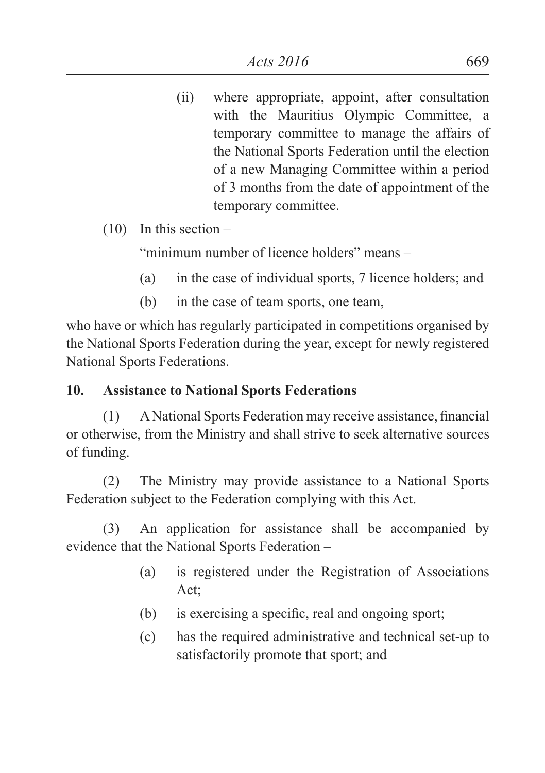- (ii) where appropriate, appoint, after consultation with the Mauritius Olympic Committee, a temporary committee to manage the affairs of the National Sports Federation until the election of a new Managing Committee within a period of 3 months from the date of appointment of the temporary committee.
- (10) In this section –

"minimum number of licence holders" means –

- (a) in the case of individual sports, 7 licence holders; and
- (b) in the case of team sports, one team,

who have or which has regularly participated in competitions organised by the National Sports Federation during the year, except for newly registered National Sports Federations.

## **10. Assistance to National Sports Federations**

(1) ANational Sports Federation may receive assistance, financial or otherwise, from the Ministry and shall strive to seek alternative sources of funding.

(2) The Ministry may provide assistance to a National Sports Federation subject to the Federation complying with this Act.

(3) An application for assistance shall be accompanied by evidence that the National Sports Federation –

- (a) is registered under the Registration of Associations Act;
- (b) is exercising a specific, real and ongoing sport;
- (c) has the required administrative and technical set-up to satisfactorily promote that sport; and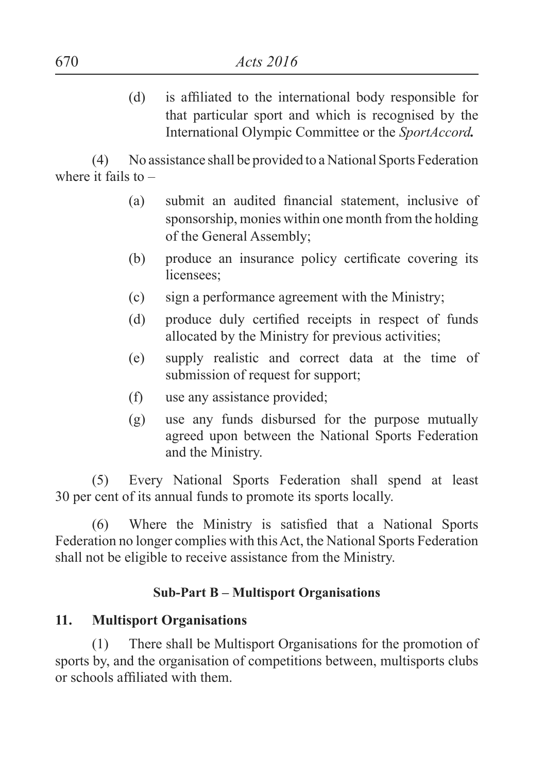(d) is affiliated to the international body responsible for that particular sport and which is recognised by the International Olympic Committee or the *SportAccord.*

(4) No assistance shall be provided to a National Sports Federation where it fails to  $-$ 

- (a) submit an audited financial statement, inclusive of sponsorship, monies within one month from the holding of the General Assembly;
- (b) produce an insurance policy certificate covering its licensees:
- (c) sign a performance agreement with the Ministry;
- (d) produce duly certified receipts in respect of funds allocated by the Ministry for previous activities;
- (e) supply realistic and correct data at the time of submission of request for support;
- (f) use any assistance provided;
- (g) use any funds disbursed for the purpose mutually agreed upon between the National Sports Federation and the Ministry.

(5) Every National Sports Federation shall spend at least 30 per cent of its annual funds to promote its sports locally.

(6) Where the Ministry is satisfied that a National Sports Federation no longer complies with this Act, the National Sports Federation shall not be eligible to receive assistance from the Ministry.

#### **Sub-Part B – Multisport Organisations**

#### **11. Multisport Organisations**

(1) There shall be Multisport Organisations for the promotion of sports by, and the organisation of competitions between, multisports clubs or schools affiliated with them.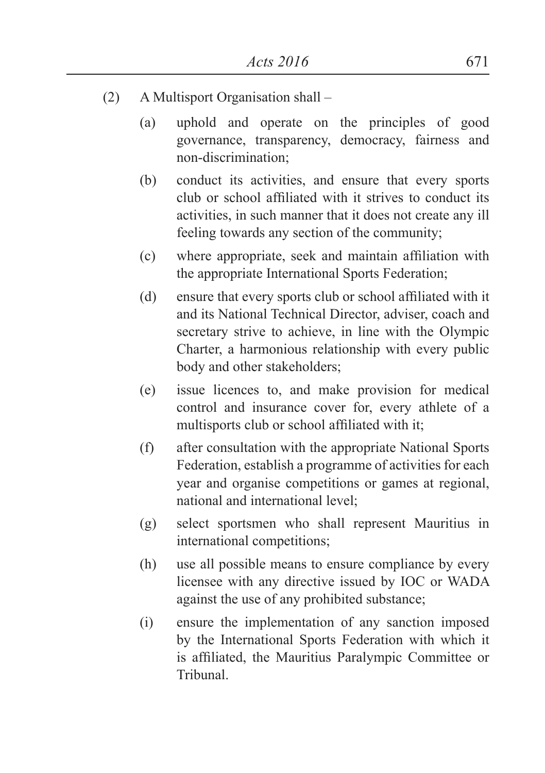- (2) A Multisport Organisation shall
	- (a) uphold and operate on the principles of good governance, transparency, democracy, fairness and non-discrimination;
	- (b) conduct its activities, and ensure that every sports club or school affiliated with it strives to conduct its activities, in such manner that it does not create any ill feeling towards any section of the community;
	- (c) where appropriate, seek and maintain affiliation with the appropriate International Sports Federation;
	- (d) ensure that every sports club or school affiliated with it and its National Technical Director, adviser, coach and secretary strive to achieve, in line with the Olympic Charter, a harmonious relationship with every public body and other stakeholders;
	- (e) issue licences to, and make provision for medical control and insurance cover for, every athlete of a multisports club or school affiliated with it;
	- (f) after consultation with the appropriate National Sports Federation, establish a programme of activities for each year and organise competitions or games at regional, national and international level;
	- (g) select sportsmen who shall represent Mauritius in international competitions;
	- (h) use all possible means to ensure compliance by every licensee with any directive issued by IOC or WADA against the use of any prohibited substance;
	- (i) ensure the implementation of any sanction imposed by the International Sports Federation with which it is affiliated, the Mauritius Paralympic Committee or Tribunal.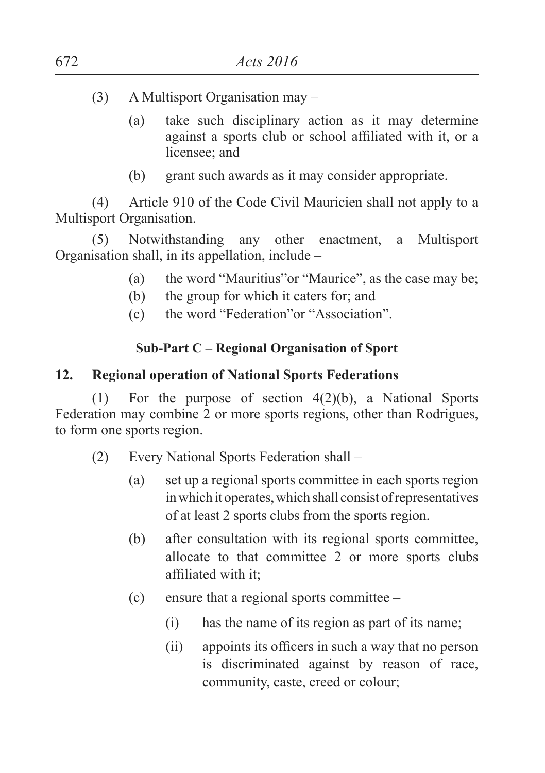- (3) A Multisport Organisation may
	- (a) take such disciplinary action as it may determine against a sports club or school affiliated with it, or a licensee; and
	- (b) grant such awards as it may consider appropriate.

(4) Article 910 of the Code Civil Mauricien shall not apply to a Multisport Organisation.

(5) Notwithstanding any other enactment, a Multisport Organisation shall, in its appellation, include –

- (a) the word "Mauritius"or "Maurice", as the case may be;
- (b) the group for which it caters for; and
- (c) the word "Federation"or "Association".

#### **Sub-Part C – Regional Organisation of Sport**

#### **12. Regional operation of National Sports Federations**

(1) For the purpose of section 4(2)(b), a National Sports Federation may combine 2 or more sports regions, other than Rodrigues, to form one sports region.

- (2) Every National Sports Federation shall
	- (a) set up a regional sports committee in each sports region in which it operates, which shall consist of representatives of at least 2 sports clubs from the sports region.
	- (b) after consultation with its regional sports committee, allocate to that committee 2 or more sports clubs affiliated with it;
	- (c) ensure that a regional sports committee
		- (i) has the name of its region as part of its name;
		- (ii) appoints its officers in such a way that no person is discriminated against by reason of race, community, caste, creed or colour;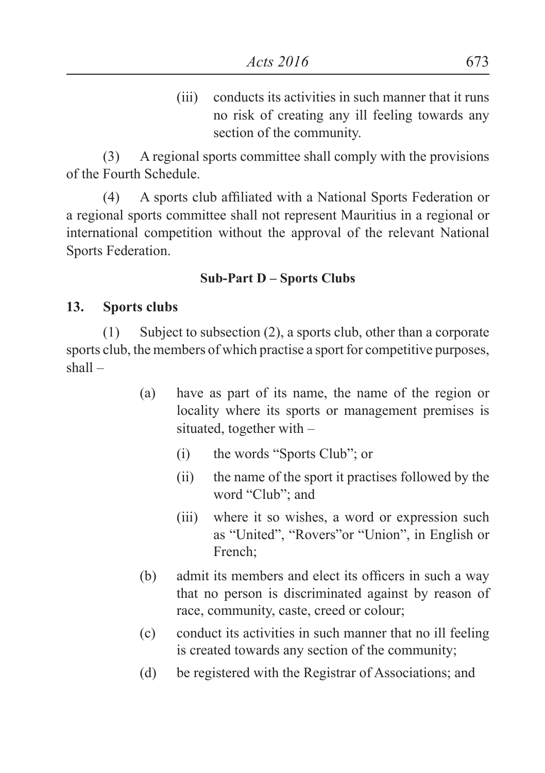(iii) conducts its activities in such manner that it runs no risk of creating any ill feeling towards any section of the community.

(3) A regional sports committee shall comply with the provisions of the Fourth Schedule.

(4) A sports club affiliated with a National Sports Federation or a regional sports committee shall not represent Mauritius in a regional or international competition without the approval of the relevant National Sports Federation.

#### **Sub-Part D – Sports Clubs**

#### **13. Sports clubs**

(1) Subject to subsection (2), a sports club, other than a corporate sports club, the members of which practise a sport for competitive purposes, shall –

- (a) have as part of its name, the name of the region or locality where its sports or management premises is situated, together with –
	- (i) the words "Sports Club"; or
	- (ii) the name of the sport it practises followed by the word "Club"; and
	- (iii) where it so wishes, a word or expression such as "United", "Rovers"or "Union", in English or French;
- (b) admit its members and elect its officers in such a way that no person is discriminated against by reason of race, community, caste, creed or colour;
- (c) conduct its activities in such manner that no ill feeling is created towards any section of the community;
- (d) be registered with the Registrar of Associations; and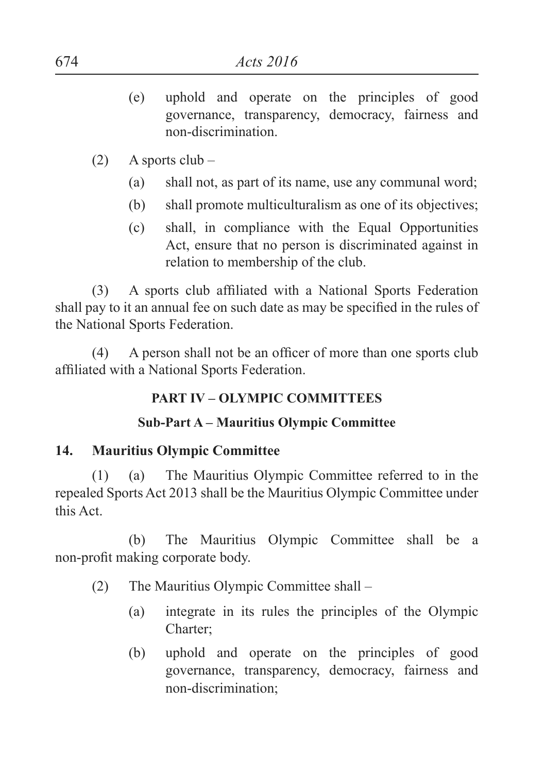- (e) uphold and operate on the principles of good governance, transparency, democracy, fairness and non-discrimination.
- $(2)$  A sports club
	- (a) shall not, as part of its name, use any communal word;
	- (b) shall promote multiculturalism as one of its objectives;
	- (c) shall, in compliance with the Equal Opportunities Act, ensure that no person is discriminated against in relation to membership of the club.

(3) A sports club affiliated with a National Sports Federation shall pay to it an annual fee on such date as may be specified in the rules of the National Sports Federation.

(4) A person shall not be an officer of more than one sports club affiliated with a National Sports Federation.

## **PART IV – OLYMPIC COMMITTEES**

## **Sub-Part A – Mauritius Olympic Committee**

## **14. Mauritius Olympic Committee**

(1) (a) The Mauritius Olympic Committee referred to in the repealed Sports Act 2013 shall be the Mauritius Olympic Committee under this Act.

(b) The Mauritius Olympic Committee shall be a non-profit making corporate body.

- (2) The Mauritius Olympic Committee shall
	- (a) integrate in its rules the principles of the Olympic Charter;
	- (b) uphold and operate on the principles of good governance, transparency, democracy, fairness and non-discrimination;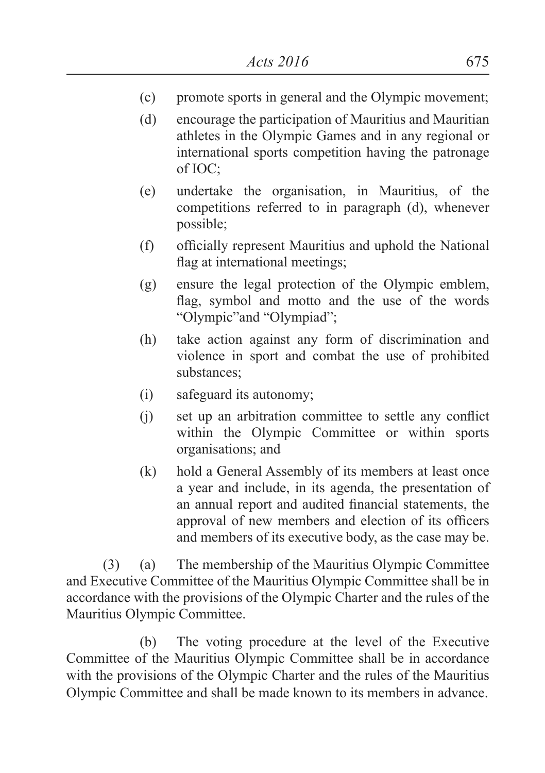- (c) promote sports in general and the Olympic movement;
- (d) encourage the participation of Mauritius and Mauritian athletes in the Olympic Games and in any regional or international sports competition having the patronage of IOC;
- (e) undertake the organisation, in Mauritius, of the competitions referred to in paragraph (d), whenever possible;
- (f) officially represent Mauritius and uphold the National flag at international meetings;
- (g) ensure the legal protection of the Olympic emblem, flag, symbol and motto and the use of the words "Olympic"and "Olympiad";
- (h) take action against any form of discrimination and violence in sport and combat the use of prohibited substances;
- (i) safeguard its autonomy;
- (j) set up an arbitration committee to settle any conflict within the Olympic Committee or within sports organisations; and
- (k) hold a General Assembly of its members at least once a year and include, in its agenda, the presentation of an annual report and audited financial statements, the approval of new members and election of its officers and members of its executive body, as the case may be.

(3) (a) The membership of the Mauritius Olympic Committee and Executive Committee of the Mauritius Olympic Committee shall be in accordance with the provisions of the Olympic Charter and the rules of the Mauritius Olympic Committee.

(b) The voting procedure at the level of the Executive Committee of the Mauritius Olympic Committee shall be in accordance with the provisions of the Olympic Charter and the rules of the Mauritius Olympic Committee and shall be made known to its members in advance.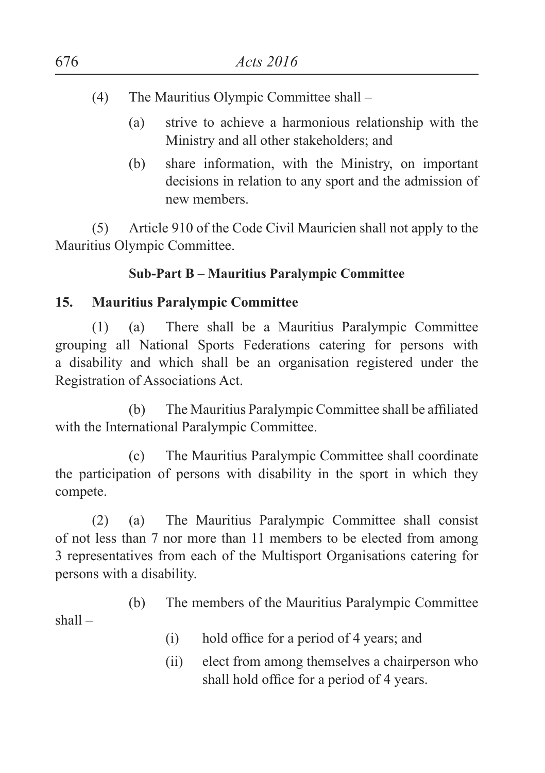- (4) The Mauritius Olympic Committee shall
	- (a) strive to achieve a harmonious relationship with the Ministry and all other stakeholders; and
	- (b) share information, with the Ministry, on important decisions in relation to any sport and the admission of new members.

(5) Article 910 of the Code Civil Mauricien shall not apply to the Mauritius Olympic Committee.

## **Sub-Part B – Mauritius Paralympic Committee**

## **15. Mauritius Paralympic Committee**

(1) (a) There shall be a Mauritius Paralympic Committee grouping all National Sports Federations catering for persons with a disability and which shall be an organisation registered under the Registration of Associations Act.

(b) The Mauritius Paralympic Committee shall be affiliated with the International Paralympic Committee.

(c) The Mauritius Paralympic Committee shall coordinate the participation of persons with disability in the sport in which they compete.

(2) (a) The Mauritius Paralympic Committee shall consist of not less than 7 nor more than 11 members to be elected from among 3 representatives from each of the Multisport Organisations catering for persons with a disability.

(b) The members of the Mauritius Paralympic Committee shall –

- (i) hold office for a period of 4 years; and
- (ii) elect from among themselves a chairperson who shall hold office for a period of 4 years.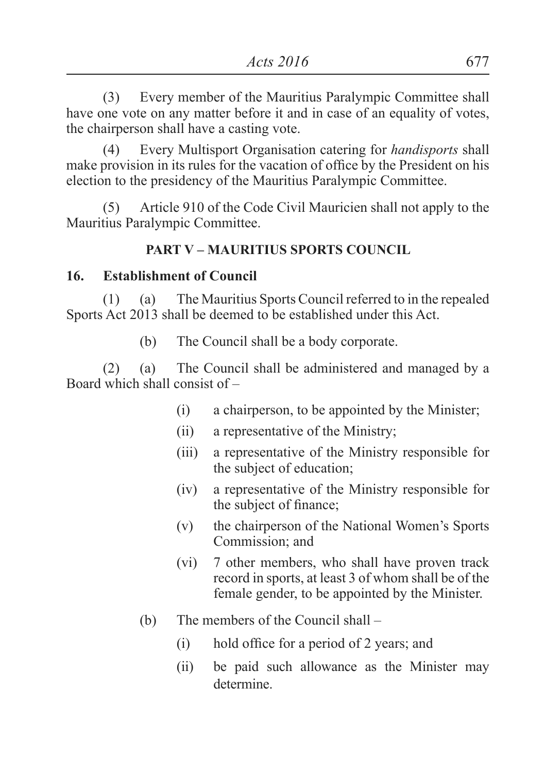(3) Every member of the Mauritius Paralympic Committee shall have one vote on any matter before it and in case of an equality of votes, the chairperson shall have a casting vote.

(4) Every Multisport Organisation catering for *handisports* shall make provision in its rules for the vacation of office by the President on his election to the presidency of the Mauritius Paralympic Committee.

(5) Article 910 of the Code Civil Mauricien shall not apply to the Mauritius Paralympic Committee.

## **PART V – MAURITIUS SPORTS COUNCIL**

#### **16. Establishment of Council**

(1) (a) The Mauritius Sports Council referred to in the repealed Sports Act 2013 shall be deemed to be established under this Act.

(b) The Council shall be a body corporate.

(2) (a) The Council shall be administered and managed by a Board which shall consist of –

- (i) a chairperson, to be appointed by the Minister;
- (ii) a representative of the Ministry;
- (iii) a representative of the Ministry responsible for the subject of education;
- (iv) a representative of the Ministry responsible for the subject of finance;
- (v) the chairperson of the National Women's Sports Commission; and
- (vi) 7 other members, who shall have proven track record in sports, at least 3 of whom shall be of the female gender, to be appointed by the Minister.
- (b) The members of the Council shall
	- (i) hold office for a period of 2 years; and
	- (ii) be paid such allowance as the Minister may determine.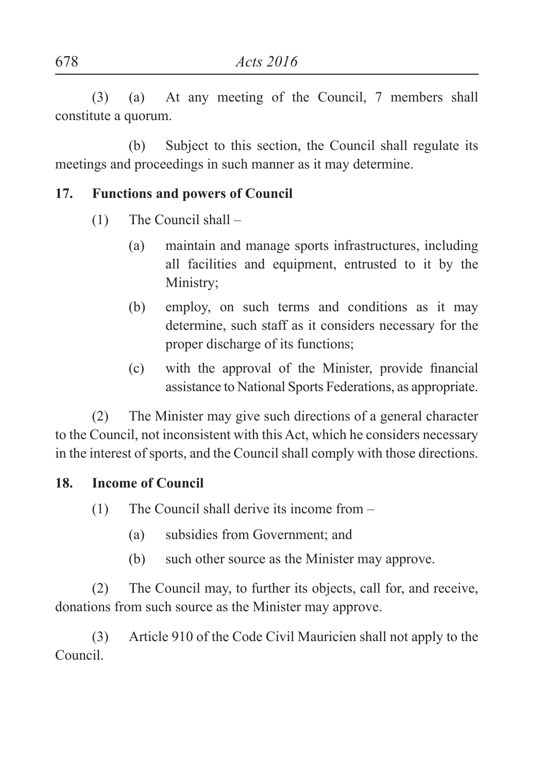(3) (a) At any meeting of the Council, 7 members shall constitute a quorum.

(b) Subject to this section, the Council shall regulate its meetings and proceedings in such manner as it may determine.

## **17. Functions and powers of Council**

- (1) The Council shall
	- (a) maintain and manage sports infrastructures, including all facilities and equipment, entrusted to it by the Ministry;
	- (b) employ, on such terms and conditions as it may determine, such staff as it considers necessary for the proper discharge of its functions;
	- (c) with the approval of the Minister, provide financial assistance to National Sports Federations, as appropriate.

(2) The Minister may give such directions of a general character to the Council, not inconsistent with this Act, which he considers necessary in the interest of sports, and the Council shall comply with those directions.

## **18. Income of Council**

- (1) The Council shall derive its income from
	- (a) subsidies from Government; and
	- (b) such other source as the Minister may approve.

(2) The Council may, to further its objects, call for, and receive, donations from such source as the Minister may approve.

(3) Article 910 of the Code Civil Mauricien shall not apply to the Council.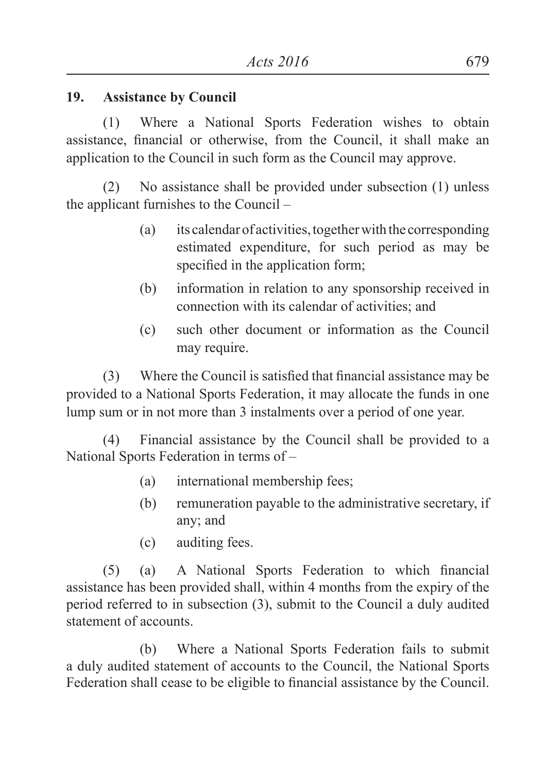#### **19. Assistance by Council**

(1) Where a National Sports Federation wishes to obtain assistance, financial or otherwise, from the Council, it shall make an application to the Council in such form as the Council may approve.

(2) No assistance shall be provided under subsection (1) unless the applicant furnishes to the Council –

- (a) its calendar of activities, together with the corresponding estimated expenditure, for such period as may be specified in the application form;
- (b) information in relation to any sponsorship received in connection with its calendar of activities; and
- (c) such other document or information as the Council may require.

(3) Where the Council is satisfied that financial assistance may be provided to a National Sports Federation, it may allocate the funds in one lump sum or in not more than 3 instalments over a period of one year.

(4) Financial assistance by the Council shall be provided to a National Sports Federation in terms of –

- (a) international membership fees;
- (b) remuneration payable to the administrative secretary, if any; and
- (c) auditing fees.

(5) (a) A National Sports Federation to which financial assistance has been provided shall, within 4 months from the expiry of the period referred to in subsection (3), submit to the Council a duly audited statement of accounts.

(b) Where a National Sports Federation fails to submit a duly audited statement of accounts to the Council, the National Sports Federation shall cease to be eligible to financial assistance by the Council.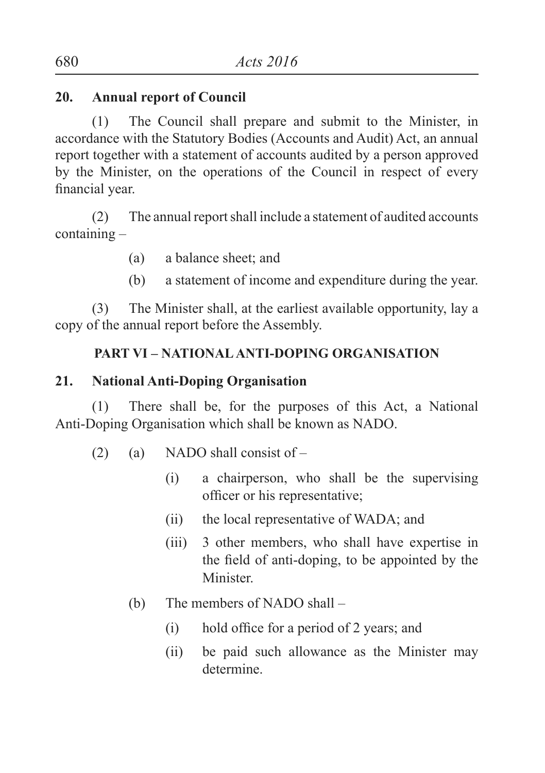## **20. Annual report of Council**

(1) The Council shall prepare and submit to the Minister, in accordance with the Statutory Bodies (Accounts and Audit) Act, an annual report together with a statement of accounts audited by a person approved by the Minister, on the operations of the Council in respect of every financial year.

(2) The annual report shall include a statement of audited accounts containing –

- (a) a balance sheet; and
- (b) a statement of income and expenditure during the year.

(3) The Minister shall, at the earliest available opportunity, lay a copy of the annual report before the Assembly.

## **PART VI – NATIONAL ANTI-DOPING ORGANISATION**

#### **21. National Anti-Doping Organisation**

(1) There shall be, for the purposes of this Act, a National Anti-Doping Organisation which shall be known as NADO.

- (2) (a) NADO shall consist of  $-$ 
	- (i) a chairperson, who shall be the supervising officer or his representative;
	- (ii) the local representative of WADA; and
	- (iii) 3 other members, who shall have expertise in the field of anti-doping, to be appointed by the Minister.
	- (b) The members of NADO shall
		- (i) hold office for a period of 2 years; and
		- (ii) be paid such allowance as the Minister may determine.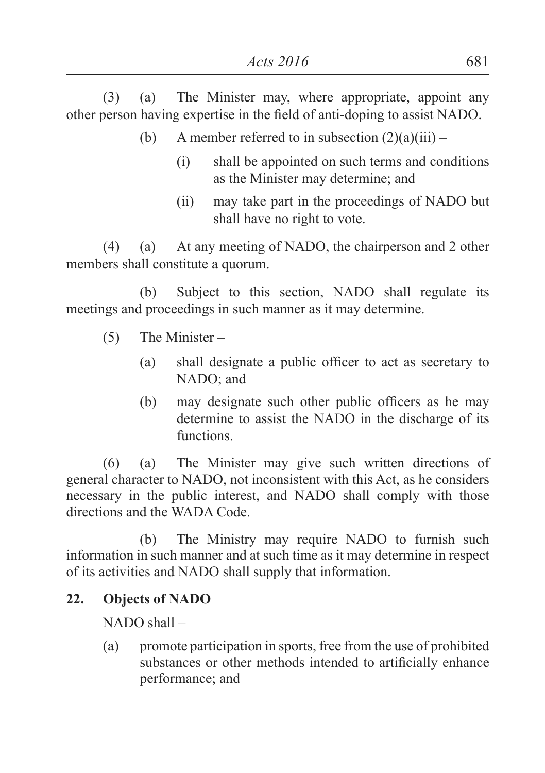(3) (a) The Minister may, where appropriate, appoint any other person having expertise in the field of anti-doping to assist NADO.

- (b) A member referred to in subsection  $(2)(a)(iii)$ 
	- (i) shall be appointed on such terms and conditions as the Minister may determine; and
	- (ii) may take part in the proceedings of NADO but shall have no right to vote.

(4) (a) At any meeting of NADO, the chairperson and 2 other members shall constitute a quorum.

(b) Subject to this section, NADO shall regulate its meetings and proceedings in such manner as it may determine.

- (5) The Minister
	- (a) shall designate a public officer to act as secretary to NADO; and
	- (b) may designate such other public officers as he may determine to assist the NADO in the discharge of its functions.

(6) (a) The Minister may give such written directions of general character to NADO, not inconsistent with this Act, as he considers necessary in the public interest, and NADO shall comply with those directions and the WADA Code.

(b) The Ministry may require NADO to furnish such information in such manner and at such time as it may determine in respect of its activities and NADO shall supply that information.

## **22. Objects of NADO**

NADO shall –

(a) promote participation in sports, free from the use of prohibited substances or other methods intended to artificially enhance performance; and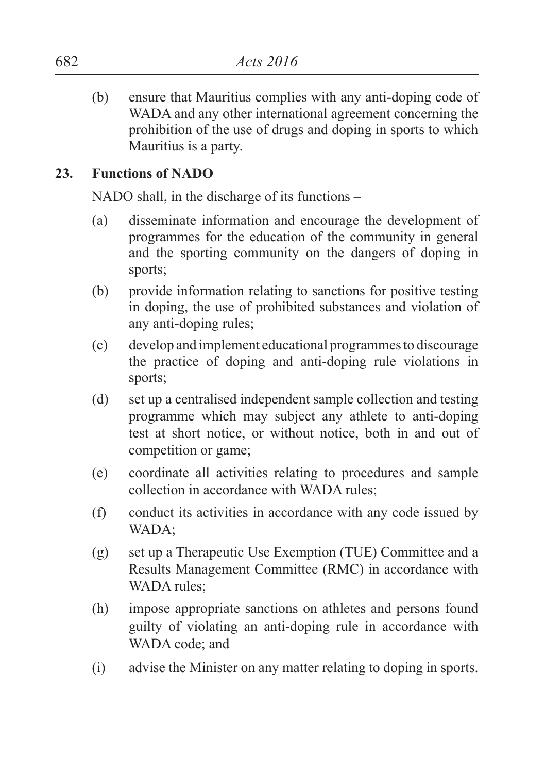(b) ensure that Mauritius complies with any anti-doping code of WADA and any other international agreement concerning the prohibition of the use of drugs and doping in sports to which Mauritius is a party.

#### **23. Functions of NADO**

NADO shall, in the discharge of its functions –

- (a) disseminate information and encourage the development of programmes for the education of the community in general and the sporting community on the dangers of doping in sports;
- (b) provide information relating to sanctions for positive testing in doping, the use of prohibited substances and violation of any anti-doping rules;
- (c) develop and implement educational programmes to discourage the practice of doping and anti-doping rule violations in sports;
- (d) set up a centralised independent sample collection and testing programme which may subject any athlete to anti-doping test at short notice, or without notice, both in and out of competition or game;
- (e) coordinate all activities relating to procedures and sample collection in accordance with WADA rules;
- (f) conduct its activities in accordance with any code issued by WADA;
- (g) set up a Therapeutic Use Exemption (TUE) Committee and a Results Management Committee (RMC) in accordance with WADA rules:
- (h) impose appropriate sanctions on athletes and persons found guilty of violating an anti-doping rule in accordance with WADA code; and
- (i) advise the Minister on any matter relating to doping in sports.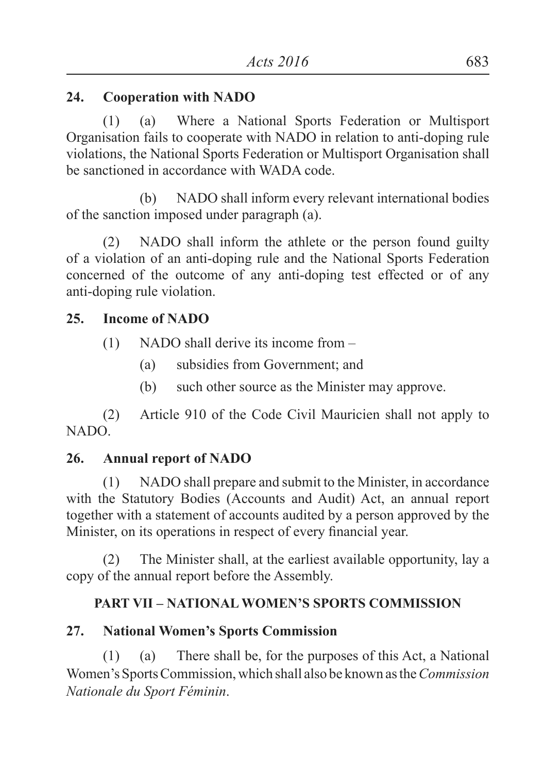## **24. Cooperation with NADO**

(1) (a) Where a National Sports Federation or Multisport Organisation fails to cooperate with NADO in relation to anti-doping rule violations, the National Sports Federation or Multisport Organisation shall be sanctioned in accordance with WADA code.

(b) NADO shall inform every relevant international bodies of the sanction imposed under paragraph (a).

(2) NADO shall inform the athlete or the person found guilty of a violation of an anti-doping rule and the National Sports Federation concerned of the outcome of any anti-doping test effected or of any anti-doping rule violation.

## **25. Income of NADO**

- (1) NADO shall derive its income from
	- (a) subsidies from Government; and
	- (b) such other source as the Minister may approve.

(2) Article 910 of the Code Civil Mauricien shall not apply to NADO.

## **26. Annual report of NADO**

(1) NADO shall prepare and submit to the Minister, in accordance with the Statutory Bodies (Accounts and Audit) Act, an annual report together with a statement of accounts audited by a person approved by the Minister, on its operations in respect of every financial year.

(2) The Minister shall, at the earliest available opportunity, lay a copy of the annual report before the Assembly.

## **PART VII – NATIONAL WOMEN'S SPORTS COMMISSION**

## **27. National Women's Sports Commission**

(1) (a) There shall be, for the purposes of this Act, a National Women's Sports Commission, which shall also be known as the *Commission Nationale du Sport Féminin*.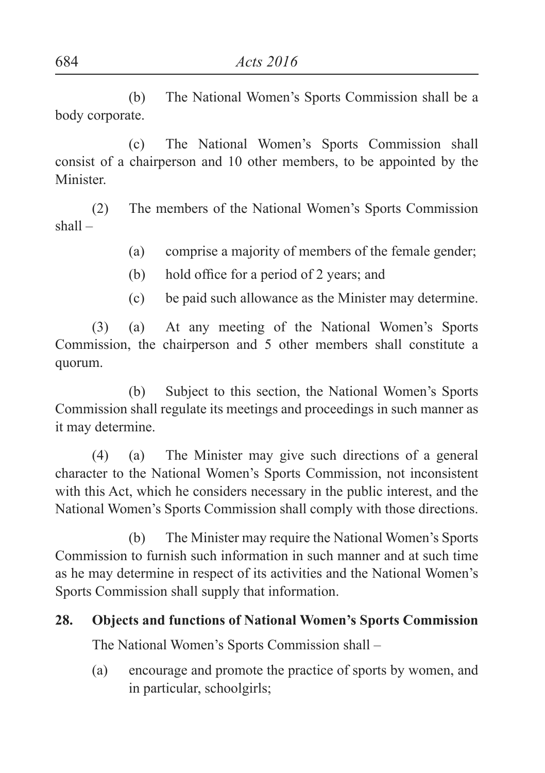(b) The National Women's Sports Commission shall be a body corporate.

(c) The National Women's Sports Commission shall consist of a chairperson and 10 other members, to be appointed by the Minister.

(2) The members of the National Women's Sports Commission shall –

- (a) comprise a majority of members of the female gender;
- (b) hold office for a period of 2 years; and
- (c) be paid such allowance as the Minister may determine.

(3) (a) At any meeting of the National Women's Sports Commission, the chairperson and 5 other members shall constitute a quorum.

(b) Subject to this section, the National Women's Sports Commission shall regulate its meetings and proceedings in such manner as it may determine.

(4) (a) The Minister may give such directions of a general character to the National Women's Sports Commission, not inconsistent with this Act, which he considers necessary in the public interest, and the National Women's Sports Commission shall comply with those directions.

(b) The Minister may require the National Women's Sports Commission to furnish such information in such manner and at such time as he may determine in respect of its activities and the National Women's Sports Commission shall supply that information.

#### **28. Objects and functions of National Women's Sports Commission**

The National Women's Sports Commission shall –

(a) encourage and promote the practice of sports by women, and in particular, schoolgirls;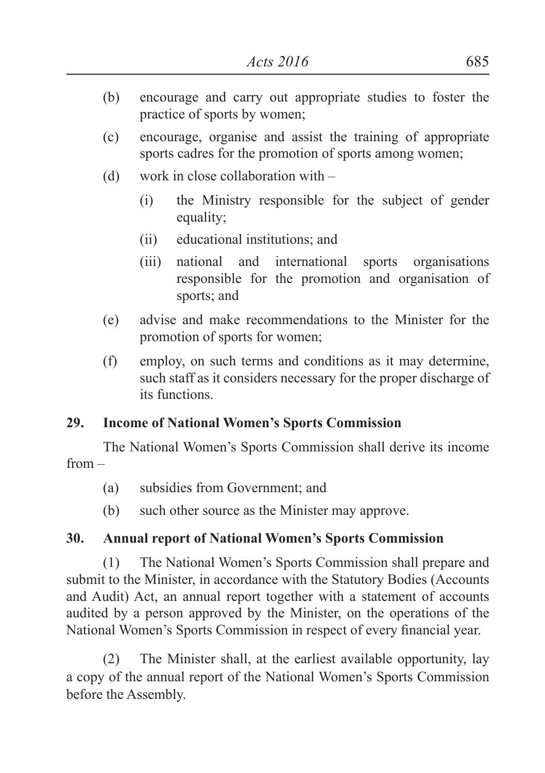- (b) encourage and carry out appropriate studies to foster the practice of sports by women;
- (c) encourage, organise and assist the training of appropriate sports cadres for the promotion of sports among women;
- (d) work in close collaboration with
	- (i) the Ministry responsible for the subject of gender equality;
	- (ii) educational institutions; and
	- (iii) national and international sports organisations responsible for the promotion and organisation of sports; and
- (e) advise and make recommendations to the Minister for the promotion of sports for women;
- (f) employ, on such terms and conditions as it may determine, such staff as it considers necessary for the proper discharge of its functions.

## **29. Income of National Women's Sports Commission**

The National Women's Sports Commission shall derive its income from –

- (a) subsidies from Government; and
- (b) such other source as the Minister may approve.

## **30. Annual report of National Women's Sports Commission**

(1) The National Women's Sports Commission shall prepare and submit to the Minister, in accordance with the Statutory Bodies (Accounts and Audit) Act, an annual report together with a statement of accounts audited by a person approved by the Minister, on the operations of the National Women's Sports Commission in respect of every financial year.

(2) The Minister shall, at the earliest available opportunity, lay a copy of the annual report of the National Women's Sports Commission before the Assembly.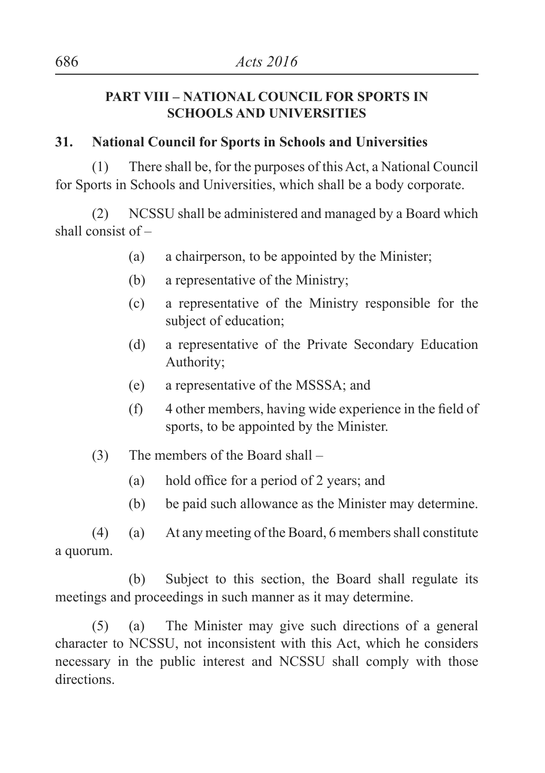#### **PART VIII – NATIONAL COUNCIL FOR SPORTS IN SCHOOLS AND UNIVERSITIES**

## **31. National Council for Sports in Schools and Universities**

(1) There shall be, for the purposes of this Act, a National Council for Sports in Schools and Universities, which shall be a body corporate.

(2) NCSSU shall be administered and managed by a Board which shall consist of –

- (a) a chairperson, to be appointed by the Minister;
- (b) a representative of the Ministry;
- (c) a representative of the Ministry responsible for the subject of education;
- (d) a representative of the Private Secondary Education Authority;
- (e) a representative of the MSSSA; and
- (f) 4 other members, having wide experience in the field of sports, to be appointed by the Minister.
- (3) The members of the Board shall
	- (a) hold office for a period of 2 years; and
	- (b) be paid such allowance as the Minister may determine.

(4) (a) At any meeting of the Board, 6 members shall constitute a quorum.

(b) Subject to this section, the Board shall regulate its meetings and proceedings in such manner as it may determine.

(5) (a) The Minister may give such directions of a general character to NCSSU, not inconsistent with this Act, which he considers necessary in the public interest and NCSSU shall comply with those directions.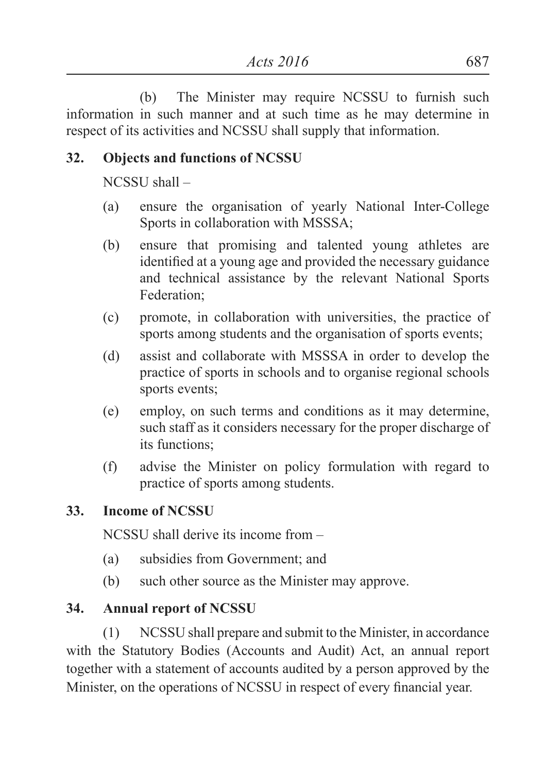(b) The Minister may require NCSSU to furnish such information in such manner and at such time as he may determine in respect of its activities and NCSSU shall supply that information.

## **32. Objects and functions of NCSSU**

NCSSU shall –

- (a) ensure the organisation of yearly National Inter-College Sports in collaboration with MSSSA;
- (b) ensure that promising and talented young athletes are identified at a young age and provided the necessary guidance and technical assistance by the relevant National Sports Federation;
- (c) promote, in collaboration with universities, the practice of sports among students and the organisation of sports events;
- (d) assist and collaborate with MSSSA in order to develop the practice of sports in schools and to organise regional schools sports events;
- (e) employ, on such terms and conditions as it may determine, such staff as it considers necessary for the proper discharge of its functions;
- (f) advise the Minister on policy formulation with regard to practice of sports among students.

## **33. Income of NCSSU**

NCSSU shall derive its income from –

- (a) subsidies from Government; and
- (b) such other source as the Minister may approve.

## **34. Annual report of NCSSU**

(1) NCSSU shall prepare and submit to the Minister, in accordance with the Statutory Bodies (Accounts and Audit) Act, an annual report together with a statement of accounts audited by a person approved by the Minister, on the operations of NCSSU in respect of every financial year.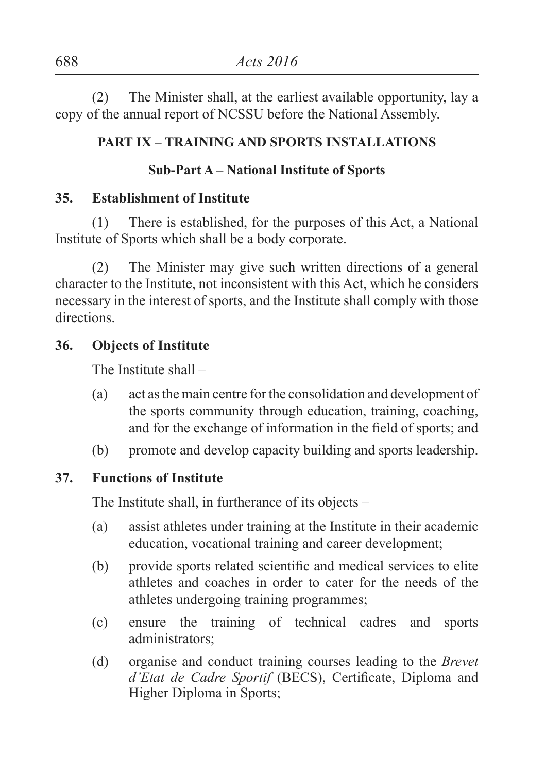(2) The Minister shall, at the earliest available opportunity, lay a copy of the annual report of NCSSU before the National Assembly.

#### **PART IX – TRAINING AND SPORTS INSTALLATIONS**

## **Sub-Part A – National Institute of Sports**

#### **35. Establishment of Institute**

(1) There is established, for the purposes of this Act, a National Institute of Sports which shall be a body corporate.

(2) The Minister may give such written directions of a general character to the Institute, not inconsistent with this Act, which he considers necessary in the interest of sports, and the Institute shall comply with those directions.

## **36. Objects of Institute**

The Institute shall –

- (a) act as the main centre for the consolidation and development of the sports community through education, training, coaching, and for the exchange of information in the field of sports; and
- (b) promote and develop capacity building and sports leadership.

#### **37. Functions of Institute**

The Institute shall, in furtherance of its objects –

- (a) assist athletes under training at the Institute in their academic education, vocational training and career development;
- (b) provide sports related scientific and medical services to elite athletes and coaches in order to cater for the needs of the athletes undergoing training programmes;
- (c) ensure the training of technical cadres and sports administrators;
- (d) organise and conduct training courses leading to the *Brevet d'Etat de Cadre Sportif* (BECS), Certificate, Diploma and Higher Diploma in Sports;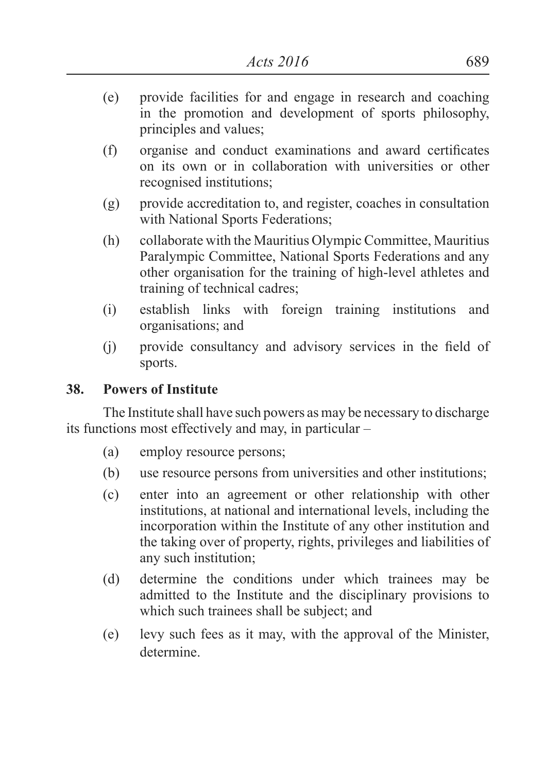- (e) provide facilities for and engage in research and coaching in the promotion and development of sports philosophy, principles and values;
- (f) organise and conduct examinations and award certificates on its own or in collaboration with universities or other recognised institutions;
- (g) provide accreditation to, and register, coaches in consultation with National Sports Federations;
- (h) collaborate with the Mauritius Olympic Committee, Mauritius Paralympic Committee, National Sports Federations and any other organisation for the training of high-level athletes and training of technical cadres;
- (i) establish links with foreign training institutions and organisations; and
- (i) provide consultancy and advisory services in the field of sports.

#### **38. Powers of Institute**

The Institute shall have such powers as may be necessary to discharge its functions most effectively and may, in particular –

- (a) employ resource persons;
- (b) use resource persons from universities and other institutions;
- (c) enter into an agreement or other relationship with other institutions, at national and international levels, including the incorporation within the Institute of any other institution and the taking over of property, rights, privileges and liabilities of any such institution;
- (d) determine the conditions under which trainees may be admitted to the Institute and the disciplinary provisions to which such trainees shall be subject; and
- (e) levy such fees as it may, with the approval of the Minister, determine.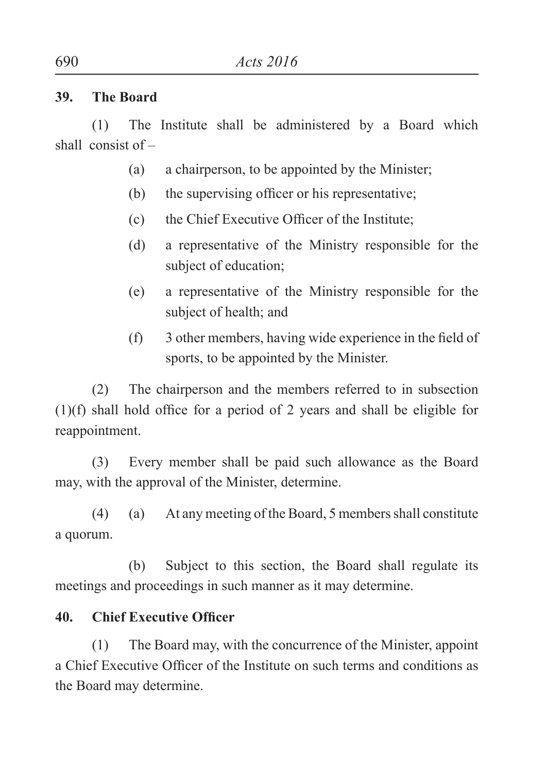#### **39. The Board**

(1) The Institute shall be administered by a Board which shall consist of –

- (a) a chairperson, to be appointed by the Minister;
- (b) the supervising officer or his representative;
- (c) the Chief Executive Officer of the Institute;
- (d) a representative of the Ministry responsible for the subject of education;
- (e) a representative of the Ministry responsible for the subject of health; and
- (f) 3 other members, having wide experience in the field of sports, to be appointed by the Minister.

(2) The chairperson and the members referred to in subsection (1)(f) shall hold office for a period of 2 years and shall be eligible for reappointment.

(3) Every member shall be paid such allowance as the Board may, with the approval of the Minister, determine.

(4) (a) At any meeting of the Board, 5 members shall constitute a quorum.

(b) Subject to this section, the Board shall regulate its meetings and proceedings in such manner as it may determine.

## **40. Chief Executive Officer**

(1) The Board may, with the concurrence of the Minister, appoint a Chief Executive Officer of the Institute on such terms and conditions as the Board may determine.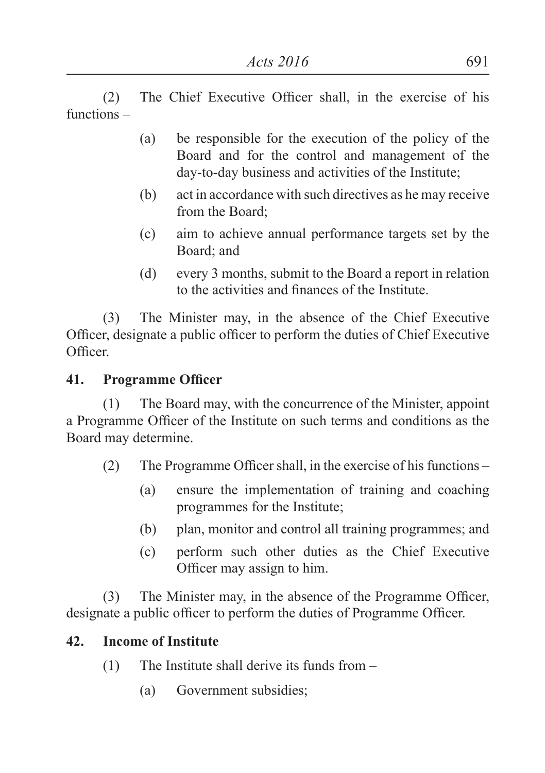(2) The Chief Executive Officer shall, in the exercise of his functions –

- (a) be responsible for the execution of the policy of the Board and for the control and management of the day-to-day business and activities of the Institute;
- (b) act in accordance with such directives as he may receive from the Board;
- (c) aim to achieve annual performance targets set by the Board; and
- (d) every 3 months, submit to the Board a report in relation to the activities and finances of the Institute.

(3) The Minister may, in the absence of the Chief Executive Officer, designate a public officer to perform the duties of Chief Executive Officer.

#### **41. Programme Officer**

(1) The Board may, with the concurrence of the Minister, appoint a Programme Officer of the Institute on such terms and conditions as the Board may determine.

- (2) The Programme Officer shall, in the exercise of his functions
	- (a) ensure the implementation of training and coaching programmes for the Institute;
	- (b) plan, monitor and control all training programmes; and
	- (c) perform such other duties as the Chief Executive Officer may assign to him.

(3) The Minister may, in the absence of the Programme Officer, designate a public officer to perform the duties of Programme Officer.

## **42. Income of Institute**

- (1) The Institute shall derive its funds from
	- (a) Government subsidies;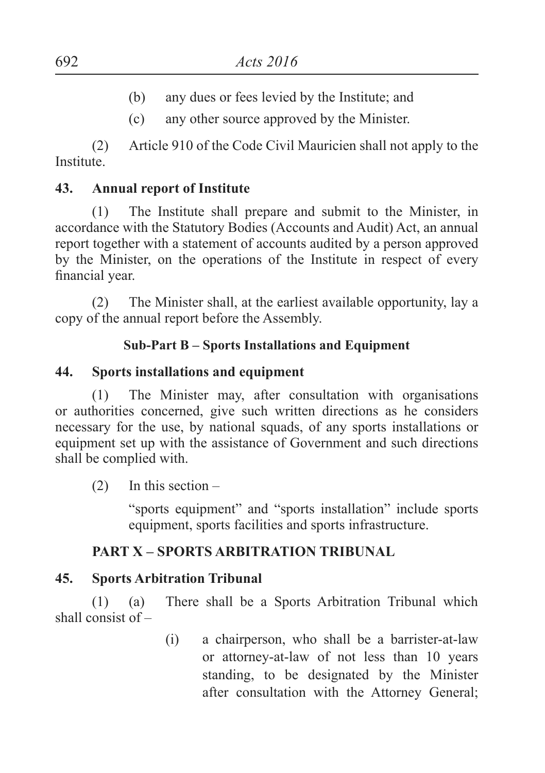- (b) any dues or fees levied by the Institute; and
- (c) any other source approved by the Minister.

(2) Article 910 of the Code Civil Mauricien shall not apply to the **Institute** 

## **43. Annual report of Institute**

(1) The Institute shall prepare and submit to the Minister, in accordance with the Statutory Bodies (Accounts and Audit) Act, an annual report together with a statement of accounts audited by a person approved by the Minister, on the operations of the Institute in respect of every financial year.

(2) The Minister shall, at the earliest available opportunity, lay a copy of the annual report before the Assembly.

## **Sub-Part B – Sports Installations and Equipment**

## **44. Sports installations and equipment**

(1) The Minister may, after consultation with organisations or authorities concerned, give such written directions as he considers necessary for the use, by national squads, of any sports installations or equipment set up with the assistance of Government and such directions shall be complied with.

(2) In this section –

"sports equipment" and "sports installation" include sports equipment, sports facilities and sports infrastructure.

## **PART X – SPORTS ARBITRATION TRIBUNAL**

## **45. Sports Arbitration Tribunal**

(1) (a) There shall be a Sports Arbitration Tribunal which shall consist of –

> (i) a chairperson, who shall be a barrister-at-law or attorney-at-law of not less than 10 years standing, to be designated by the Minister after consultation with the Attorney General;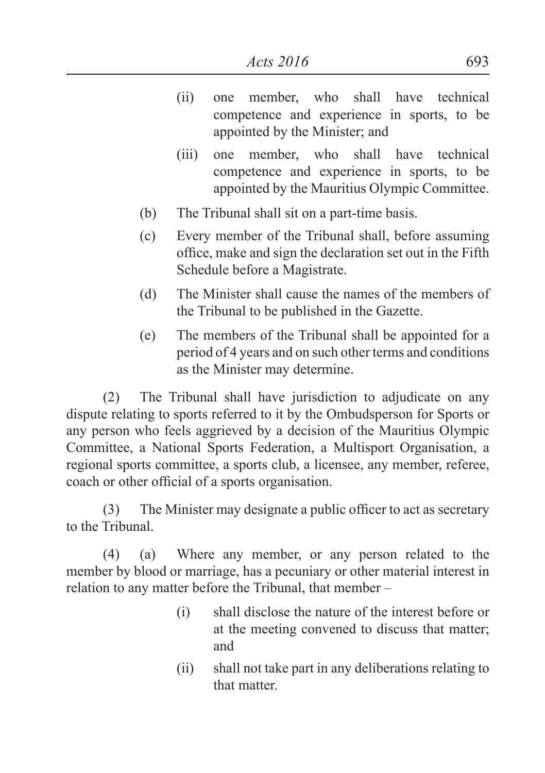- (ii) one member, who shall have technical competence and experience in sports, to be appointed by the Minister; and
- (iii) one member, who shall have technical competence and experience in sports, to be appointed by the Mauritius Olympic Committee.
- (b) The Tribunal shall sit on a part-time basis.
- (c) Every member of the Tribunal shall, before assuming office, make and sign the declaration set out in the Fifth Schedule before a Magistrate.
- (d) The Minister shall cause the names of the members of the Tribunal to be published in the Gazette.
- (e) The members of the Tribunal shall be appointed for a period of 4 years and on such other terms and conditions as the Minister may determine.

(2) The Tribunal shall have jurisdiction to adjudicate on any dispute relating to sports referred to it by the Ombudsperson for Sports or any person who feels aggrieved by a decision of the Mauritius Olympic Committee, a National Sports Federation, a Multisport Organisation, a regional sports committee, a sports club, a licensee, any member, referee, coach or other official of a sports organisation.

(3) The Minister may designate a public officer to act as secretary to the Tribunal.

(4) (a) Where any member, or any person related to the member by blood or marriage, has a pecuniary or other material interest in relation to any matter before the Tribunal, that member –

- (i) shall disclose the nature of the interest before or at the meeting convened to discuss that matter; and
- (ii) shall not take part in any deliberations relating to that matter.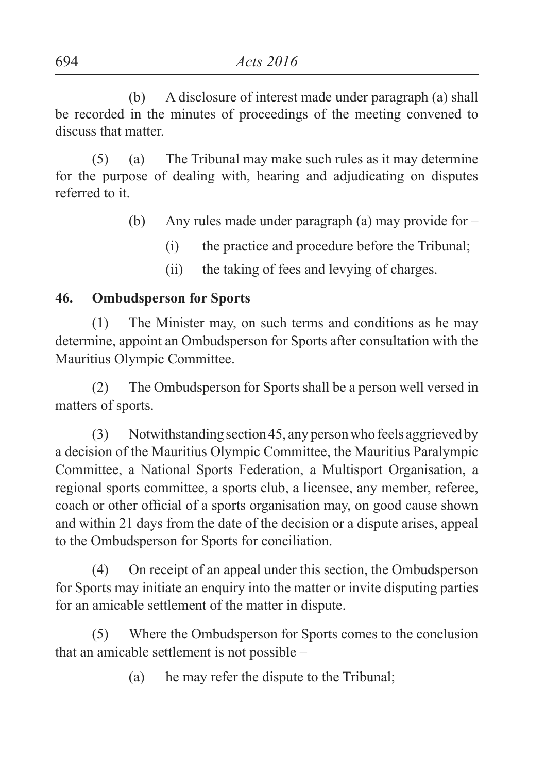(b) A disclosure of interest made under paragraph (a) shall be recorded in the minutes of proceedings of the meeting convened to discuss that matter.

(5) (a) The Tribunal may make such rules as it may determine for the purpose of dealing with, hearing and adjudicating on disputes referred to it.

- (b) Any rules made under paragraph (a) may provide for
	- (i) the practice and procedure before the Tribunal;
	- (ii) the taking of fees and levying of charges.

## **46. Ombudsperson for Sports**

(1) The Minister may, on such terms and conditions as he may determine, appoint an Ombudsperson for Sports after consultation with the Mauritius Olympic Committee.

(2) The Ombudsperson for Sports shall be a person well versed in matters of sports.

(3) Notwithstanding section 45, any person who feels aggrieved by a decision of the Mauritius Olympic Committee, the Mauritius Paralympic Committee, a National Sports Federation, a Multisport Organisation, a regional sports committee, a sports club, a licensee, any member, referee, coach or other official of a sports organisation may, on good cause shown and within 21 days from the date of the decision or a dispute arises, appeal to the Ombudsperson for Sports for conciliation.

(4) On receipt of an appeal under this section, the Ombudsperson for Sports may initiate an enquiry into the matter or invite disputing parties for an amicable settlement of the matter in dispute.

(5) Where the Ombudsperson for Sports comes to the conclusion that an amicable settlement is not possible –

(a) he may refer the dispute to the Tribunal;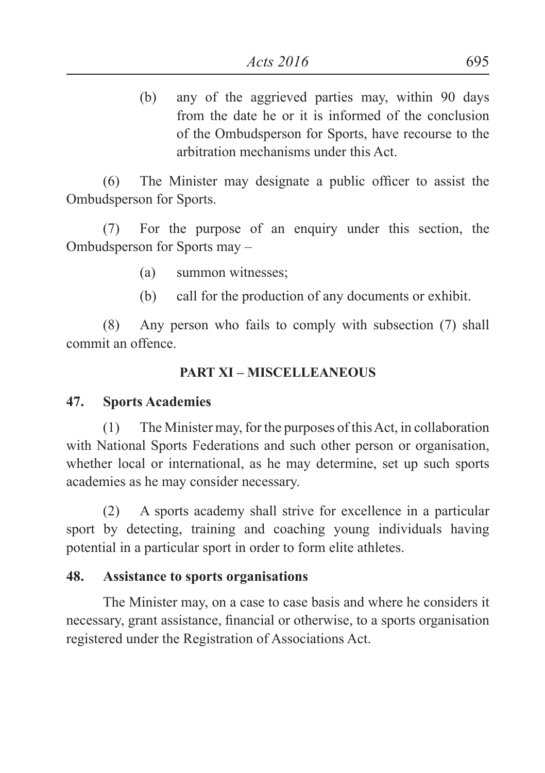(b) any of the aggrieved parties may, within 90 days from the date he or it is informed of the conclusion of the Ombudsperson for Sports, have recourse to the arbitration mechanisms under this Act.

(6) The Minister may designate a public officer to assist the Ombudsperson for Sports.

(7) For the purpose of an enquiry under this section, the Ombudsperson for Sports may –

- (a) summon witnesses;
- (b) call for the production of any documents or exhibit.

(8) Any person who fails to comply with subsection (7) shall commit an offence.

#### **PART XI – MISCELLEANEOUS**

#### **47. Sports Academies**

(1) The Minister may, for the purposes of this Act, in collaboration with National Sports Federations and such other person or organisation. whether local or international, as he may determine, set up such sports academies as he may consider necessary.

(2) A sports academy shall strive for excellence in a particular sport by detecting, training and coaching young individuals having potential in a particular sport in order to form elite athletes.

#### **48. Assistance to sports organisations**

The Minister may, on a case to case basis and where he considers it necessary, grant assistance, financial or otherwise, to a sports organisation registered under the Registration of Associations Act.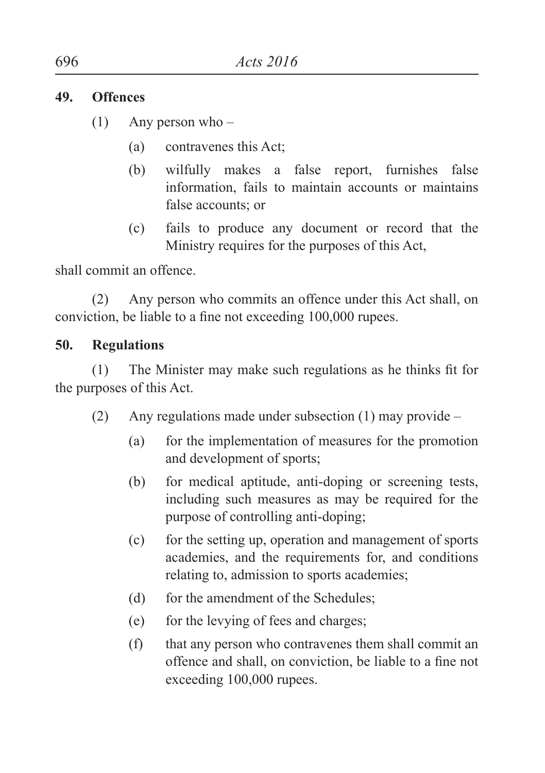#### **49. Offences**

- (1) Any person who
	- (a) contravenes this Act;
	- (b) wilfully makes a false report, furnishes false information, fails to maintain accounts or maintains false accounts; or
	- (c) fails to produce any document or record that the Ministry requires for the purposes of this Act,

shall commit an offence.

(2) Any person who commits an offence under this Act shall, on conviction, be liable to a fine not exceeding 100,000 rupees.

## **50. Regulations**

(1) The Minister may make such regulations as he thinks fit for the purposes of this Act.

- (2) Any regulations made under subsection (1) may provide
	- (a) for the implementation of measures for the promotion and development of sports;
	- (b) for medical aptitude, anti-doping or screening tests, including such measures as may be required for the purpose of controlling anti-doping;
	- (c) for the setting up, operation and management of sports academies, and the requirements for, and conditions relating to, admission to sports academies;
	- (d) for the amendment of the Schedules:
	- (e) for the levying of fees and charges;
	- (f) that any person who contravenes them shall commit an offence and shall, on conviction, be liable to a fine not exceeding 100,000 rupees.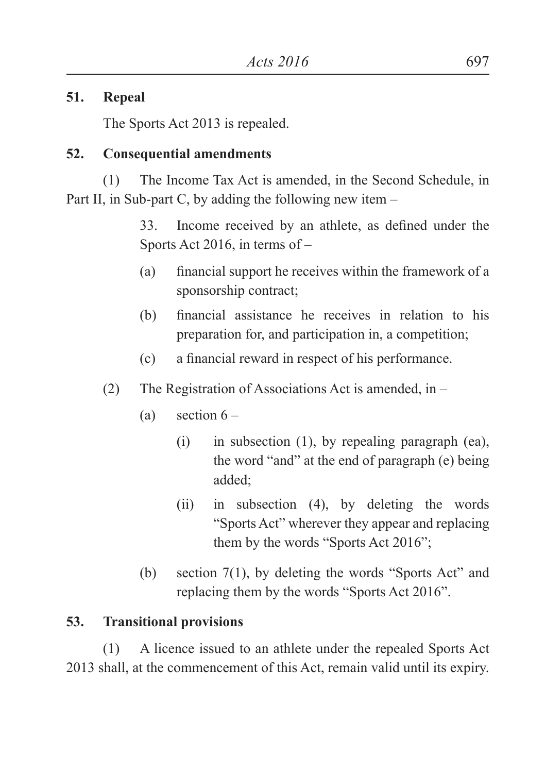## **51. Repeal**

The Sports Act 2013 is repealed.

## **52. Consequential amendments**

(1) The Income Tax Act is amended, in the Second Schedule, in Part II, in Sub-part C, by adding the following new item –

> 33. Income received by an athlete, as defined under the Sports Act 2016, in terms of –

- (a) financial support he receives within the framework of a sponsorship contract;
- (b) financial assistance he receives in relation to his preparation for, and participation in, a competition;
- (c) a financial reward in respect of his performance.
- (2) The Registration of Associations Act is amended, in
	- (a) section  $6 -$ 
		- (i) in subsection (1), by repealing paragraph (ea), the word "and" at the end of paragraph (e) being added;
		- (ii) in subsection (4), by deleting the words "Sports Act" wherever they appear and replacing them by the words "Sports Act 2016";
	- (b) section 7(1), by deleting the words "Sports Act" and replacing them by the words "Sports Act 2016".

## **53. Transitional provisions**

(1) A licence issued to an athlete under the repealed Sports Act 2013 shall, at the commencement of this Act, remain valid until its expiry.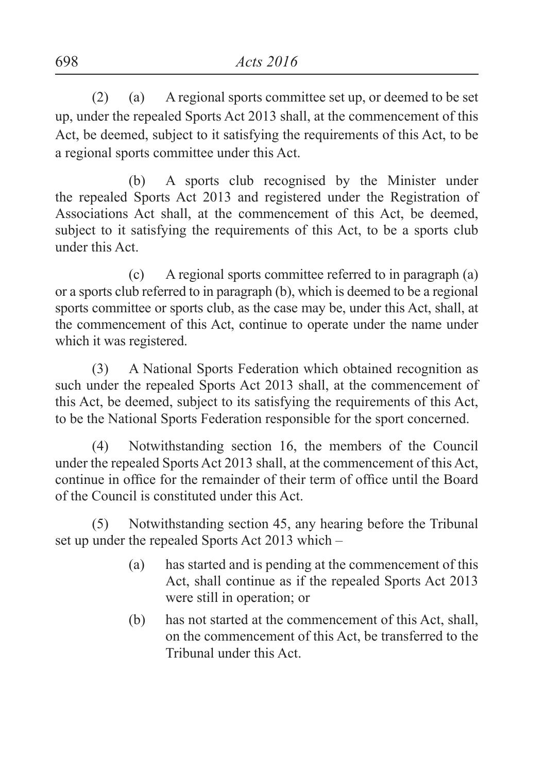(2) (a) A regional sports committee set up, or deemed to be set up, under the repealed Sports Act 2013 shall, at the commencement of this Act, be deemed, subject to it satisfying the requirements of this Act, to be a regional sports committee under this Act.

(b) A sports club recognised by the Minister under the repealed Sports Act 2013 and registered under the Registration of Associations Act shall, at the commencement of this Act, be deemed, subject to it satisfying the requirements of this Act, to be a sports club under this Act.

(c) A regional sports committee referred to in paragraph (a) or a sports club referred to in paragraph (b), which is deemed to be a regional sports committee or sports club, as the case may be, under this Act, shall, at the commencement of this Act, continue to operate under the name under which it was registered.

(3) A National Sports Federation which obtained recognition as such under the repealed Sports Act 2013 shall, at the commencement of this Act, be deemed, subject to its satisfying the requirements of this Act, to be the National Sports Federation responsible for the sport concerned.

(4) Notwithstanding section 16, the members of the Council under the repealed Sports Act 2013 shall, at the commencement of this Act, continue in office for the remainder of their term of office until the Board of the Council is constituted under this Act.

(5) Notwithstanding section 45, any hearing before the Tribunal set up under the repealed Sports Act 2013 which –

- (a) has started and is pending at the commencement of this Act, shall continue as if the repealed Sports Act 2013 were still in operation; or
- (b) has not started at the commencement of this Act, shall, on the commencement of this Act, be transferred to the Tribunal under this Act.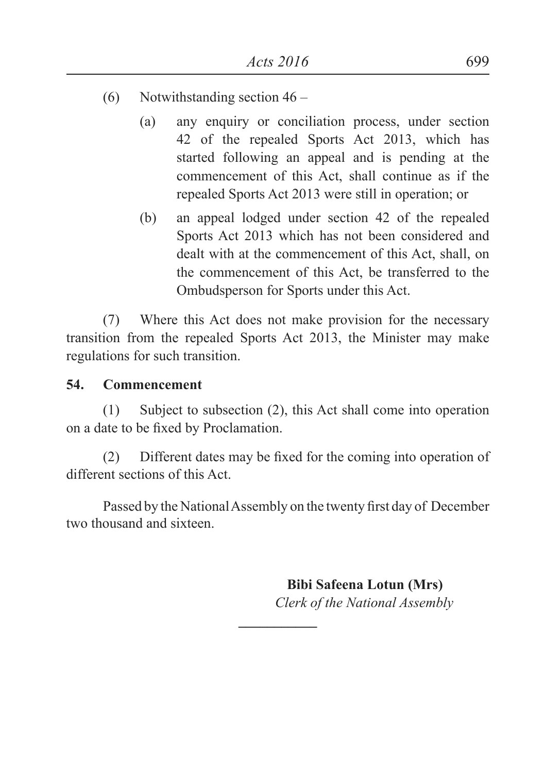- (6) Notwithstanding section 46
	- (a) any enquiry or conciliation process, under section 42 of the repealed Sports Act 2013, which has started following an appeal and is pending at the commencement of this Act, shall continue as if the repealed Sports Act 2013 were still in operation; or
	- (b) an appeal lodged under section 42 of the repealed Sports Act 2013 which has not been considered and dealt with at the commencement of this Act, shall, on the commencement of this Act, be transferred to the Ombudsperson for Sports under this Act.

(7) Where this Act does not make provision for the necessary transition from the repealed Sports Act 2013, the Minister may make regulations for such transition.

#### **54. Commencement**

(1) Subject to subsection (2), this Act shall come into operation on a date to be fixed by Proclamation.

(2) Different dates may be fixed for the coming into operation of different sections of this Act.

Passed by the National Assembly on the twenty first day of December two thousand and sixteen.

**\_\_\_\_\_\_\_\_\_\_\_**

 **Bibi Safeena Lotun (Mrs)** *Clerk of the National Assembly*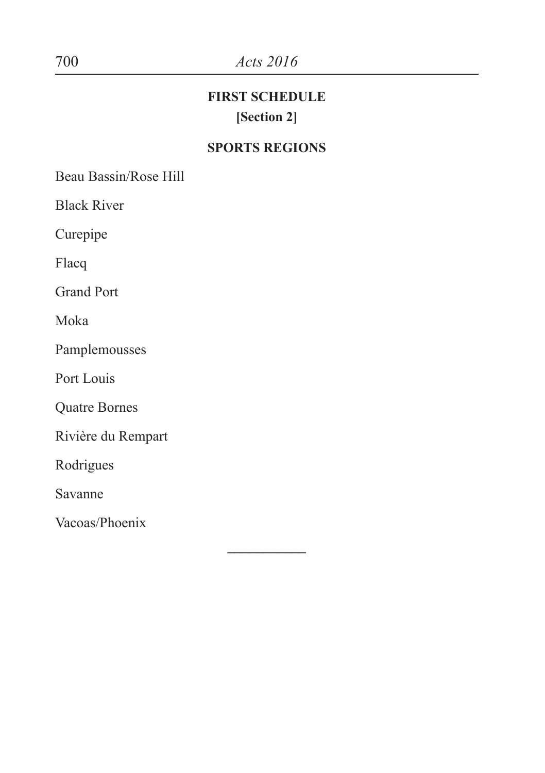# 700 *Acts 2016*

# **FIRST SCHEDULE [Section 2]**

## **SPORTS REGIONS**

**–––––––––––**

Beau Bassin/Rose Hill

Black River

Curepipe

Flacq

Grand Port

Moka

Pamplemousses

Port Louis

Quatre Bornes

Rivière du Rempart

Rodrigues

Savanne

Vacoas/Phoenix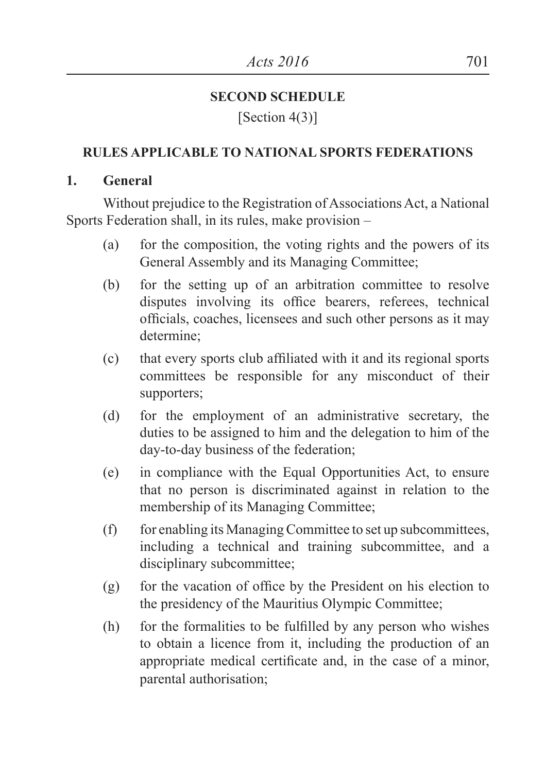## **SECOND SCHEDULE**

## [Section 4(3)]

## **RULES APPLICABLE TO NATIONAL SPORTS FEDERATIONS**

## **1. General**

Without prejudice to the Registration of Associations Act, a National Sports Federation shall, in its rules, make provision –

- (a) for the composition, the voting rights and the powers of its General Assembly and its Managing Committee;
- (b) for the setting up of an arbitration committee to resolve disputes involving its office bearers, referees, technical officials, coaches, licensees and such other persons as it may determine;
- (c) that every sports club affiliated with it and its regional sports committees be responsible for any misconduct of their supporters;
- (d) for the employment of an administrative secretary, the duties to be assigned to him and the delegation to him of the day-to-day business of the federation;
- (e) in compliance with the Equal Opportunities Act, to ensure that no person is discriminated against in relation to the membership of its Managing Committee;
- (f) for enabling its Managing Committee to set up subcommittees, including a technical and training subcommittee, and a disciplinary subcommittee;
- (g) for the vacation of office by the President on his election to the presidency of the Mauritius Olympic Committee;
- (h) for the formalities to be fulfilled by any person who wishes to obtain a licence from it, including the production of an appropriate medical certificate and, in the case of a minor, parental authorisation;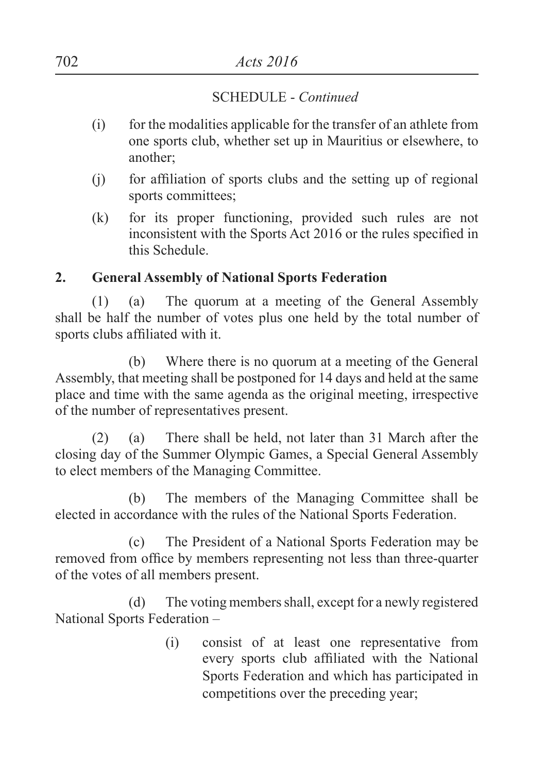- (i) for the modalities applicable for the transfer of an athlete from one sports club, whether set up in Mauritius or elsewhere, to another;
- (j) for affiliation of sports clubs and the setting up of regional sports committees;
- (k) for its proper functioning, provided such rules are not inconsistent with the Sports Act 2016 or the rules specified in this Schedule.

## **2. General Assembly of National Sports Federation**

(1) (a) The quorum at a meeting of the General Assembly shall be half the number of votes plus one held by the total number of sports clubs affiliated with it.

(b) Where there is no quorum at a meeting of the General Assembly, that meeting shall be postponed for 14 days and held at the same place and time with the same agenda as the original meeting, irrespective of the number of representatives present.

(2) (a) There shall be held, not later than 31 March after the closing day of the Summer Olympic Games, a Special General Assembly to elect members of the Managing Committee.

(b) The members of the Managing Committee shall be elected in accordance with the rules of the National Sports Federation.

(c) The President of a National Sports Federation may be removed from office by members representing not less than three-quarter of the votes of all members present.

(d) The voting members shall, except for a newly registered National Sports Federation –

> (i) consist of at least one representative from every sports club affiliated with the National Sports Federation and which has participated in competitions over the preceding year;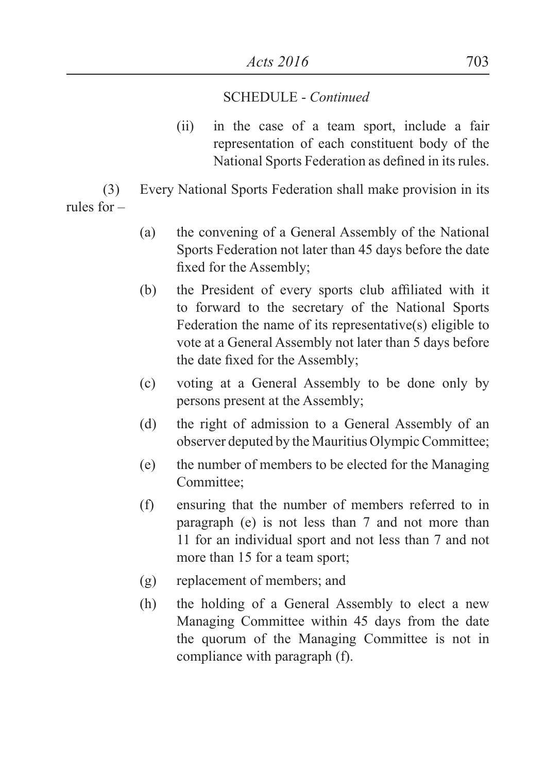(ii) in the case of a team sport, include a fair representation of each constituent body of the National Sports Federation as defined in its rules.

(3) Every National Sports Federation shall make provision in its rules for –

- (a) the convening of a General Assembly of the National Sports Federation not later than 45 days before the date fixed for the Assembly;
- (b) the President of every sports club affiliated with it to forward to the secretary of the National Sports Federation the name of its representative(s) eligible to vote at a General Assembly not later than 5 days before the date fixed for the Assembly;
- (c) voting at a General Assembly to be done only by persons present at the Assembly;
- (d) the right of admission to a General Assembly of an observer deputed by the Mauritius Olympic Committee;
- (e) the number of members to be elected for the Managing Committee;
- (f) ensuring that the number of members referred to in paragraph (e) is not less than 7 and not more than 11 for an individual sport and not less than 7 and not more than 15 for a team sport;
- (g) replacement of members; and
- (h) the holding of a General Assembly to elect a new Managing Committee within 45 days from the date the quorum of the Managing Committee is not in compliance with paragraph (f).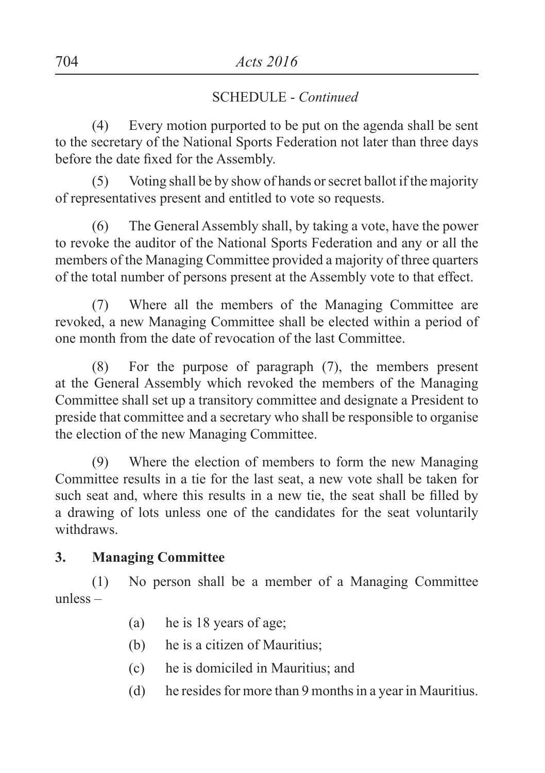(4) Every motion purported to be put on the agenda shall be sent to the secretary of the National Sports Federation not later than three days before the date fixed for the Assembly.

(5) Voting shall be by show of hands or secret ballot if the majority of representatives present and entitled to vote so requests.

(6) The General Assembly shall, by taking a vote, have the power to revoke the auditor of the National Sports Federation and any or all the members of the Managing Committee provided a majority of three quarters of the total number of persons present at the Assembly vote to that effect.

(7) Where all the members of the Managing Committee are revoked, a new Managing Committee shall be elected within a period of one month from the date of revocation of the last Committee.

(8) For the purpose of paragraph (7), the members present at the General Assembly which revoked the members of the Managing Committee shall set up a transitory committee and designate a President to preside that committee and a secretary who shall be responsible to organise the election of the new Managing Committee.

(9) Where the election of members to form the new Managing Committee results in a tie for the last seat, a new vote shall be taken for such seat and, where this results in a new tie, the seat shall be filled by a drawing of lots unless one of the candidates for the seat voluntarily withdraws.

#### **3. Managing Committee**

(1) No person shall be a member of a Managing Committee unless –

- (a) he is 18 years of age;
- (b) he is a citizen of Mauritius;
- (c) he is domiciled in Mauritius; and
- (d) he resides for more than 9 months in a year in Mauritius.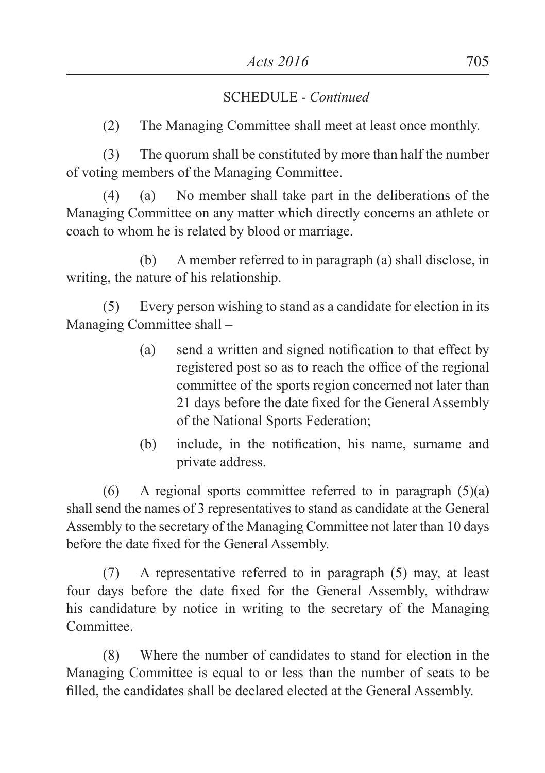(2) The Managing Committee shall meet at least once monthly.

(3) The quorum shall be constituted by more than half the number of voting members of the Managing Committee.

(4) (a) No member shall take part in the deliberations of the Managing Committee on any matter which directly concerns an athlete or coach to whom he is related by blood or marriage.

(b) A member referred to in paragraph (a) shall disclose, in writing, the nature of his relationship.

(5) Every person wishing to stand as a candidate for election in its Managing Committee shall –

- (a) send a written and signed notification to that effect by registered post so as to reach the office of the regional committee of the sports region concerned not later than 21 days before the date fixed for the General Assembly of the National Sports Federation;
- (b) include, in the notification, his name, surname and private address.

(6) A regional sports committee referred to in paragraph  $(5)(a)$ shall send the names of 3 representatives to stand as candidate at the General Assembly to the secretary of the Managing Committee not later than 10 days before the date fixed for the General Assembly.

(7) A representative referred to in paragraph (5) may, at least four days before the date fixed for the General Assembly, withdraw his candidature by notice in writing to the secretary of the Managing **Committee** 

(8) Where the number of candidates to stand for election in the Managing Committee is equal to or less than the number of seats to be filled, the candidates shall be declared elected at the General Assembly.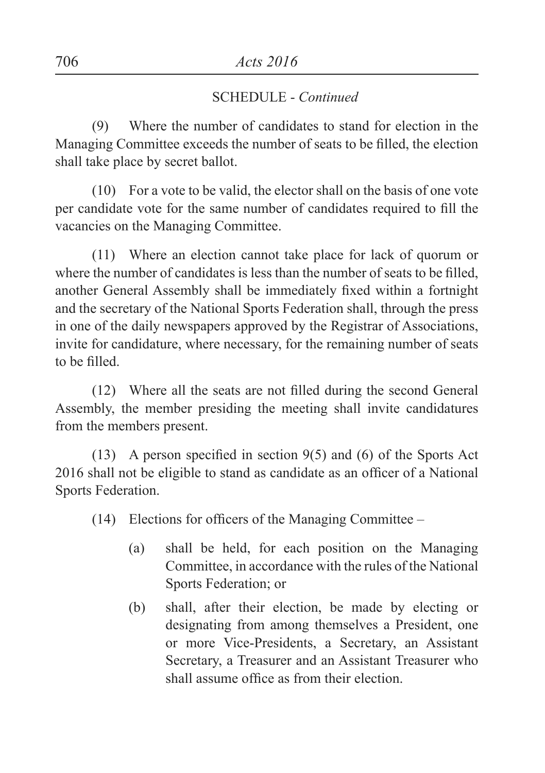(9) Where the number of candidates to stand for election in the Managing Committee exceeds the number of seats to be filled, the election shall take place by secret ballot.

(10) For a vote to be valid, the elector shall on the basis of one vote per candidate vote for the same number of candidates required to fill the vacancies on the Managing Committee.

(11) Where an election cannot take place for lack of quorum or where the number of candidates is less than the number of seats to be filled, another General Assembly shall be immediately fixed within a fortnight and the secretary of the National Sports Federation shall, through the press in one of the daily newspapers approved by the Registrar of Associations, invite for candidature, where necessary, for the remaining number of seats to be filled.

(12) Where all the seats are not filled during the second General Assembly, the member presiding the meeting shall invite candidatures from the members present.

(13) A person specified in section  $9(5)$  and (6) of the Sports Act 2016 shall not be eligible to stand as candidate as an officer of a National Sports Federation.

 $(14)$  Elections for officers of the Managing Committee –

- (a) shall be held, for each position on the Managing Committee, in accordance with the rules of the National Sports Federation; or
- (b) shall, after their election, be made by electing or designating from among themselves a President, one or more Vice-Presidents, a Secretary, an Assistant Secretary, a Treasurer and an Assistant Treasurer who shall assume office as from their election.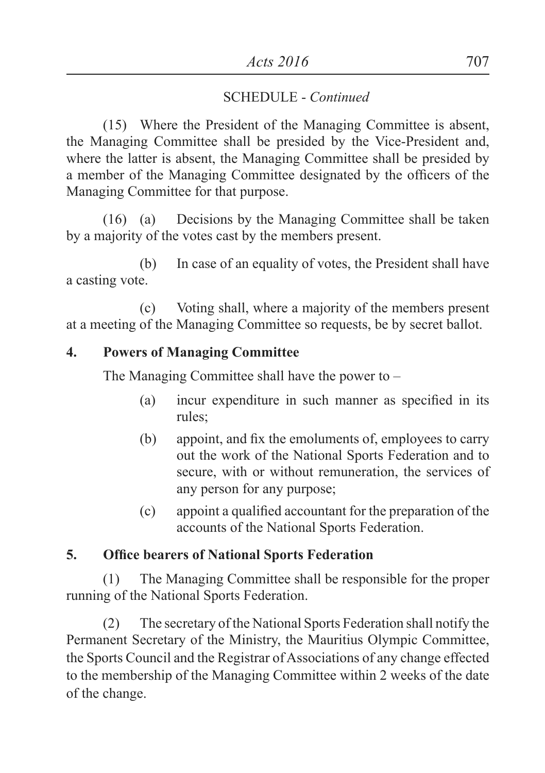(15) Where the President of the Managing Committee is absent, the Managing Committee shall be presided by the Vice-President and, where the latter is absent, the Managing Committee shall be presided by a member of the Managing Committee designated by the officers of the Managing Committee for that purpose.

(16) (a) Decisions by the Managing Committee shall be taken by a majority of the votes cast by the members present.

(b) In case of an equality of votes, the President shall have a casting vote.

(c) Voting shall, where a majority of the members present at a meeting of the Managing Committee so requests, be by secret ballot.

## **4. Powers of Managing Committee**

The Managing Committee shall have the power to –

- (a) incur expenditure in such manner as specified in its rules;
- (b) appoint, and fix the emoluments of, employees to carry out the work of the National Sports Federation and to secure, with or without remuneration, the services of any person for any purpose;
- (c) appoint a qualified accountant for the preparation of the accounts of the National Sports Federation.

## **5. Office bearers of National Sports Federation**

(1) The Managing Committee shall be responsible for the proper running of the National Sports Federation.

(2) The secretary of the National Sports Federation shall notify the Permanent Secretary of the Ministry, the Mauritius Olympic Committee, the Sports Council and the Registrar of Associations of any change effected to the membership of the Managing Committee within 2 weeks of the date of the change.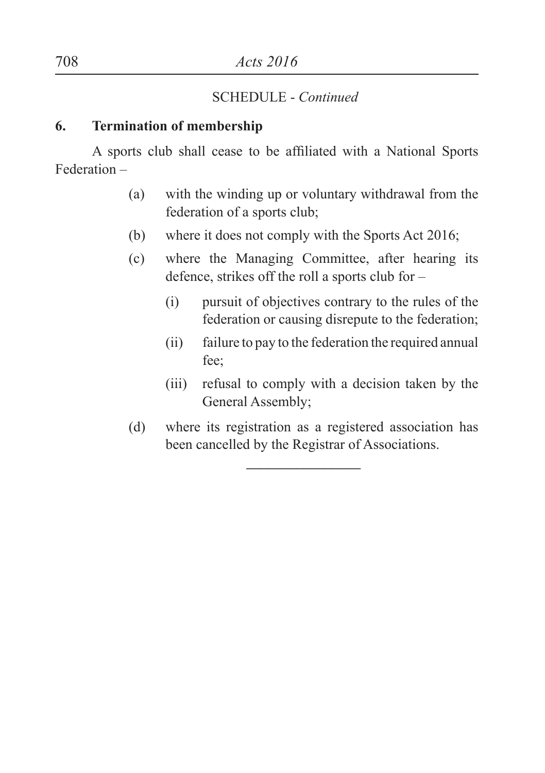#### **6. Termination of membership**

A sports club shall cease to be affiliated with a National Sports Federation –

- (a) with the winding up or voluntary withdrawal from the federation of a sports club;
- (b) where it does not comply with the Sports Act 2016;
- (c) where the Managing Committee, after hearing its defence, strikes off the roll a sports club for –
	- (i) pursuit of objectives contrary to the rules of the federation or causing disrepute to the federation;
	- (ii) failure to pay to the federation the required annual fee;
	- (iii) refusal to comply with a decision taken by the General Assembly;
- (d) where its registration as a registered association has been cancelled by the Registrar of Associations.

**––––––––––––––––**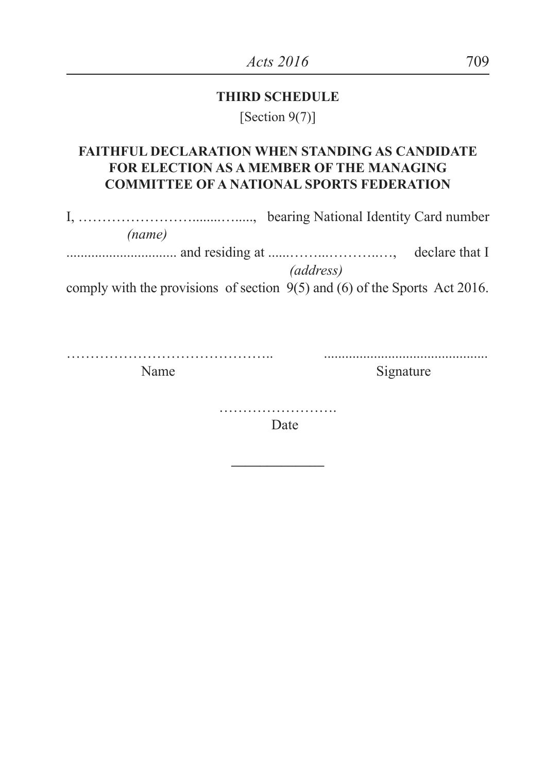#### **THIRD SCHEDULE**

[Section 9(7)]

## **FAITHFUL DECLARATION WHEN STANDING AS CANDIDATE FOR ELECTION AS A MEMBER OF THE MANAGING COMMITTEE OF A NATIONAL SPORTS FEDERATION**

I, ……………………........…....., bearing National Identity Card number *(name)* ............................... and residing at ......……...………..…, declare that I *(address)* comply with the provisions of section 9(5) and (6) of the Sports Act 2016.

…………………………………….. ..............................................

Name Signature

………………………… Date

**–––––––––––––**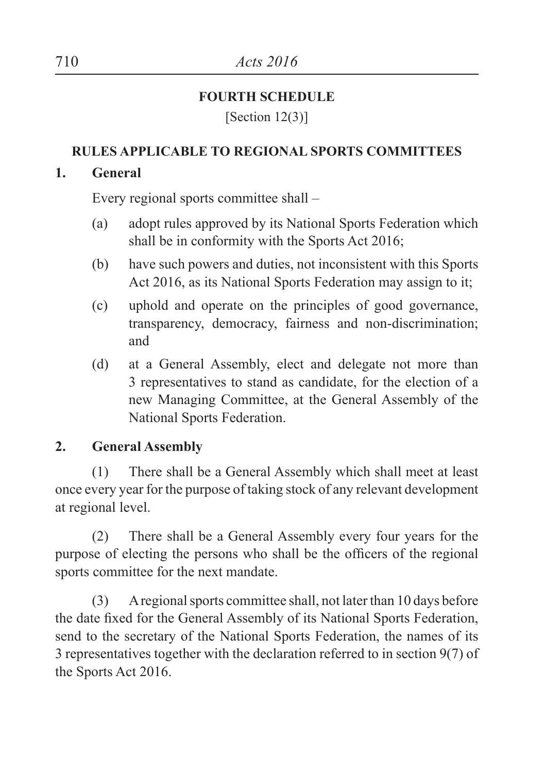## **FOURTH SCHEDULE**

[Section 12(3)]

## **RULES APPLICABLE TO REGIONAL SPORTS COMMITTEES**

## **1. General**

Every regional sports committee shall –

- (a) adopt rules approved by its National Sports Federation which shall be in conformity with the Sports Act 2016;
- (b) have such powers and duties, not inconsistent with this Sports Act 2016, as its National Sports Federation may assign to it;
- (c) uphold and operate on the principles of good governance, transparency, democracy, fairness and non-discrimination; and
- (d) at a General Assembly, elect and delegate not more than 3 representatives to stand as candidate, for the election of a new Managing Committee, at the General Assembly of the National Sports Federation.

# **2. General Assembly**

(1) There shall be a General Assembly which shall meet at least once every year for the purpose of taking stock of any relevant development at regional level.

(2) There shall be a General Assembly every four years for the purpose of electing the persons who shall be the officers of the regional sports committee for the next mandate.

(3) A regional sports committee shall, not later than 10 days before the date fixed for the General Assembly of its National Sports Federation, send to the secretary of the National Sports Federation, the names of its 3 representatives together with the declaration referred to in section 9(7) of the Sports Act 2016.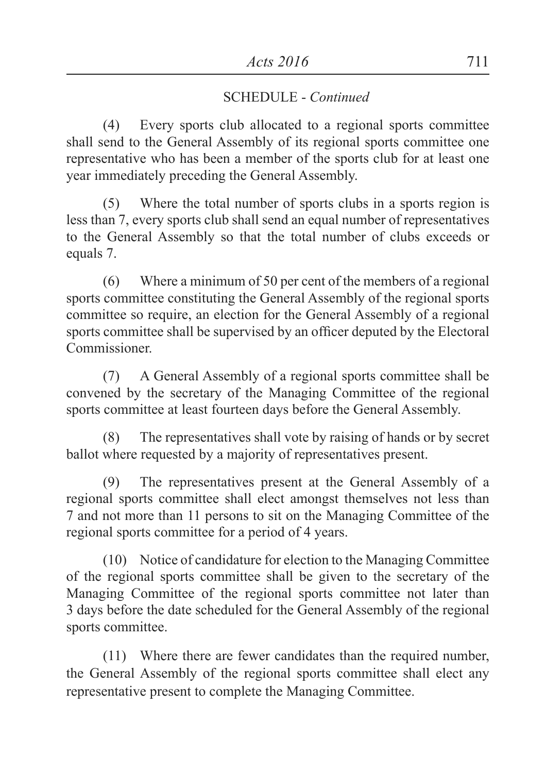(4) Every sports club allocated to a regional sports committee shall send to the General Assembly of its regional sports committee one representative who has been a member of the sports club for at least one year immediately preceding the General Assembly.

(5) Where the total number of sports clubs in a sports region is less than 7, every sports club shall send an equal number of representatives to the General Assembly so that the total number of clubs exceeds or equals 7.

(6) Where a minimum of 50 per cent of the members of a regional sports committee constituting the General Assembly of the regional sports committee so require, an election for the General Assembly of a regional sports committee shall be supervised by an officer deputed by the Electoral Commissioner.

(7) A General Assembly of a regional sports committee shall be convened by the secretary of the Managing Committee of the regional sports committee at least fourteen days before the General Assembly.

(8) The representatives shall vote by raising of hands or by secret ballot where requested by a majority of representatives present.

(9) The representatives present at the General Assembly of a regional sports committee shall elect amongst themselves not less than 7 and not more than 11 persons to sit on the Managing Committee of the regional sports committee for a period of 4 years.

(10) Notice of candidature for election to the Managing Committee of the regional sports committee shall be given to the secretary of the Managing Committee of the regional sports committee not later than 3 days before the date scheduled for the General Assembly of the regional sports committee.

(11) Where there are fewer candidates than the required number, the General Assembly of the regional sports committee shall elect any representative present to complete the Managing Committee.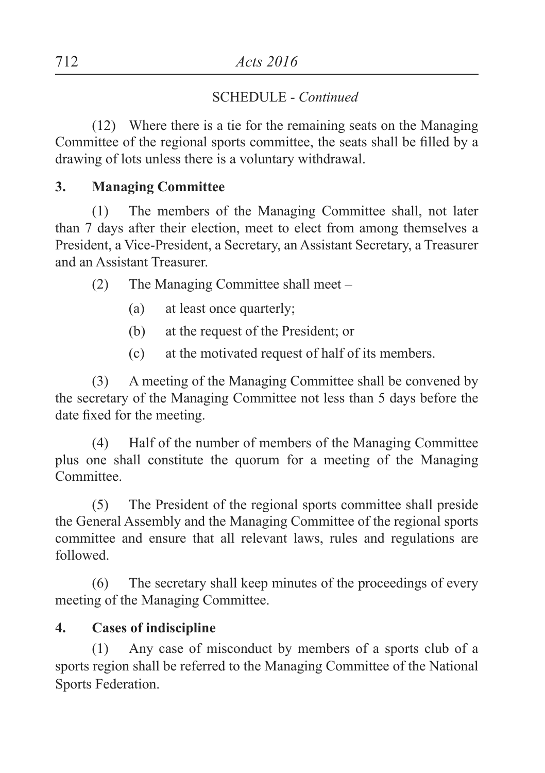(12) Where there is a tie for the remaining seats on the Managing Committee of the regional sports committee, the seats shall be filled by a drawing of lots unless there is a voluntary withdrawal.

## **3. Managing Committee**

(1) The members of the Managing Committee shall, not later than 7 days after their election, meet to elect from among themselves a President, a Vice-President, a Secretary, an Assistant Secretary, a Treasurer and an Assistant Treasurer.

(2) The Managing Committee shall meet –

- (a) at least once quarterly;
- (b) at the request of the President; or
- (c) at the motivated request of half of its members.

(3) A meeting of the Managing Committee shall be convened by the secretary of the Managing Committee not less than 5 days before the date fixed for the meeting.

(4) Half of the number of members of the Managing Committee plus one shall constitute the quorum for a meeting of the Managing Committee.

(5) The President of the regional sports committee shall preside the General Assembly and the Managing Committee of the regional sports committee and ensure that all relevant laws, rules and regulations are followed.

(6) The secretary shall keep minutes of the proceedings of every meeting of the Managing Committee.

# **4. Cases of indiscipline**

(1) Any case of misconduct by members of a sports club of a sports region shall be referred to the Managing Committee of the National Sports Federation.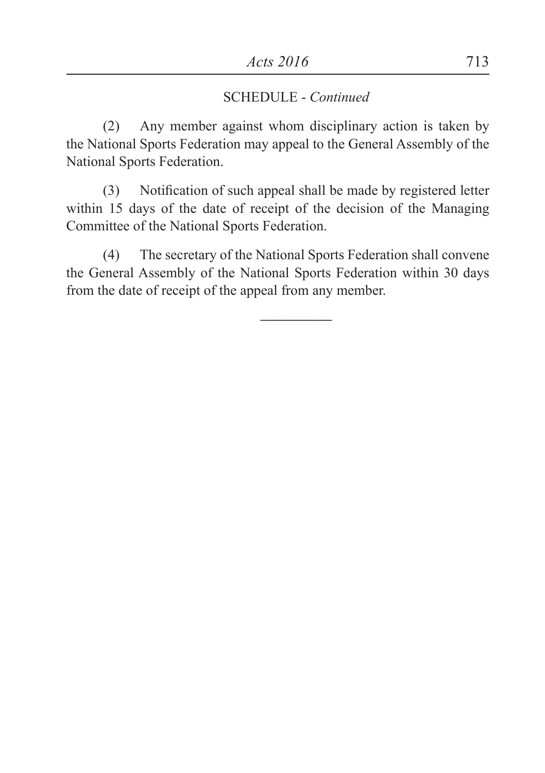(2) Any member against whom disciplinary action is taken by the National Sports Federation may appeal to the General Assembly of the National Sports Federation.

(3) Notification of such appeal shall be made by registered letter within 15 days of the date of receipt of the decision of the Managing Committee of the National Sports Federation.

(4) The secretary of the National Sports Federation shall convene the General Assembly of the National Sports Federation within 30 days from the date of receipt of the appeal from any member.

**––––––––––**